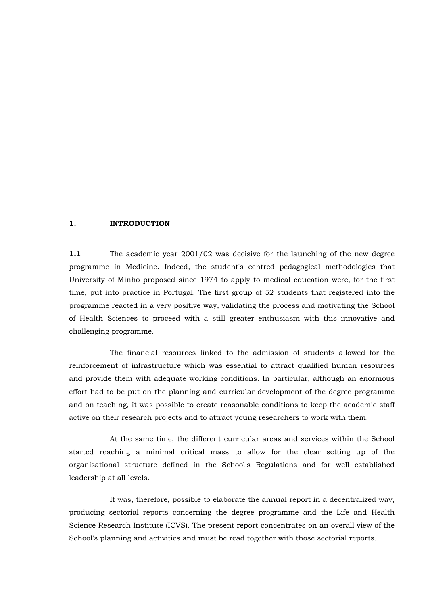## **1. INTRODUCTION**

**1.1** The academic year 2001/02 was decisive for the launching of the new degree programme in Medicine. Indeed, the student's centred pedagogical methodologies that University of Minho proposed since 1974 to apply to medical education were, for the first time, put into practice in Portugal. The first group of 52 students that registered into the programme reacted in a very positive way, validating the process and motivating the School of Health Sciences to proceed with a still greater enthusiasm with this innovative and challenging programme.

The financial resources linked to the admission of students allowed for the reinforcement of infrastructure which was essential to attract qualified human resources and provide them with adequate working conditions. In particular, although an enormous effort had to be put on the planning and curricular development of the degree programme and on teaching, it was possible to create reasonable conditions to keep the academic staff active on their research projects and to attract young researchers to work with them.

At the same time, the different curricular areas and services within the School started reaching a minimal critical mass to allow for the clear setting up of the organisational structure defined in the School's Regulations and for well established leadership at all levels.

It was, therefore, possible to elaborate the annual report in a decentralized way, producing sectorial reports concerning the degree programme and the Life and Health Science Research Institute (ICVS). The present report concentrates on an overall view of the School's planning and activities and must be read together with those sectorial reports.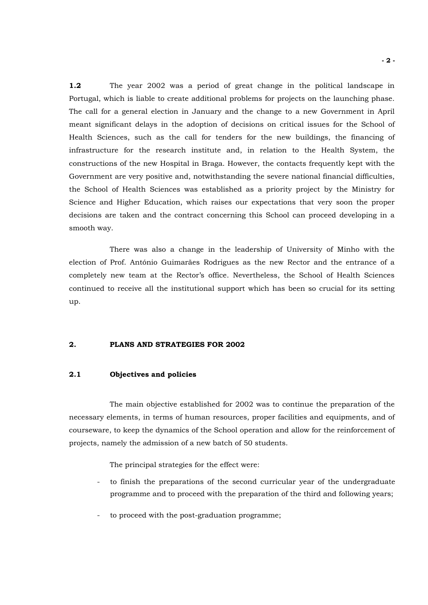**1.2** The year 2002 was a period of great change in the political landscape in Portugal, which is liable to create additional problems for projects on the launching phase. The call for a general election in January and the change to a new Government in April meant significant delays in the adoption of decisions on critical issues for the School of Health Sciences, such as the call for tenders for the new buildings, the financing of infrastructure for the research institute and, in relation to the Health System, the constructions of the new Hospital in Braga. However, the contacts frequently kept with the Government are very positive and, notwithstanding the severe national financial difficulties, the School of Health Sciences was established as a priority project by the Ministry for Science and Higher Education, which raises our expectations that very soon the proper decisions are taken and the contract concerning this School can proceed developing in a smooth way.

There was also a change in the leadership of University of Minho with the election of Prof. António Guimarães Rodrigues as the new Rector and the entrance of a completely new team at the Rector's office. Nevertheless, the School of Health Sciences continued to receive all the institutional support which has been so crucial for its setting up.

## **2. PLANS AND STRATEGIES FOR 2002**

## **2.1 Objectives and policies**

The main objective established for 2002 was to continue the preparation of the necessary elements, in terms of human resources, proper facilities and equipments, and of courseware, to keep the dynamics of the School operation and allow for the reinforcement of projects, namely the admission of a new batch of 50 students.

The principal strategies for the effect were:

- to finish the preparations of the second curricular year of the undergraduate programme and to proceed with the preparation of the third and following years;
- to proceed with the post-graduation programme;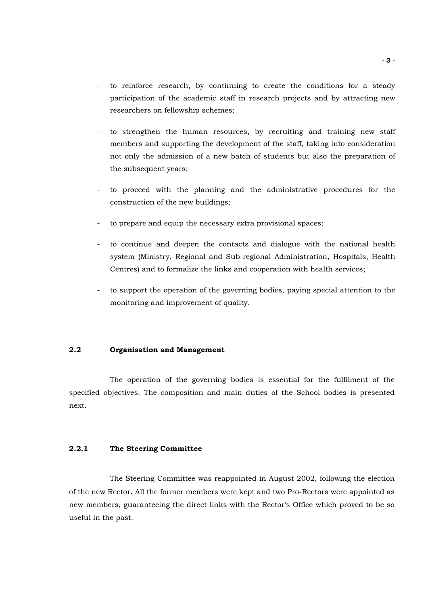- to reinforce research, by continuing to create the conditions for a steady participation of the academic staff in research projects and by attracting new researchers on fellowship schemes;
- to strengthen the human resources, by recruiting and training new staff members and supporting the development of the staff, taking into consideration not only the admission of a new batch of students but also the preparation of the subsequent years;
- to proceed with the planning and the administrative procedures for the construction of the new buildings;
- to prepare and equip the necessary extra provisional spaces;
- to continue and deepen the contacts and dialogue with the national health system (Ministry, Regional and Sub-regional Administration, Hospitals, Health Centres) and to formalize the links and cooperation with health services;
- to support the operation of the governing bodies, paying special attention to the monitoring and improvement of quality.

## **2.2 Organisation and Management**

The operation of the governing bodies is essential for the fulfilment of the specified objectives. The composition and main duties of the School bodies is presented next.

## **2.2.1 The Steering Committee**

The Steering Committee was reappointed in August 2002, following the election of the new Rector. All the former members were kept and two Pro-Rectors were appointed as new members, guaranteeing the direct links with the Rector's Office which proved to be so useful in the past.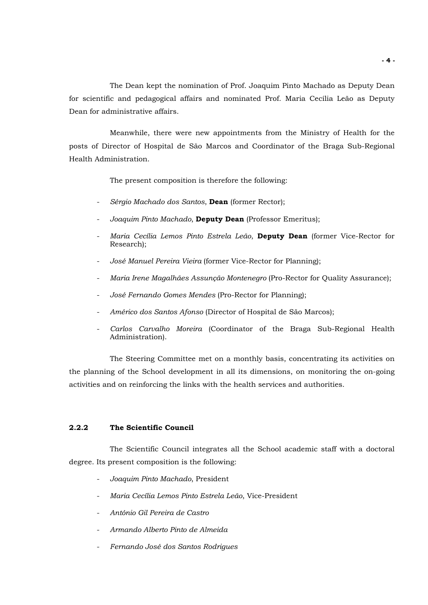The Dean kept the nomination of Prof. Joaquim Pinto Machado as Deputy Dean for scientific and pedagogical affairs and nominated Prof. Maria Cecília Leão as Deputy Dean for administrative affairs.

Meanwhile, there were new appointments from the Ministry of Health for the posts of Director of Hospital de São Marcos and Coordinator of the Braga Sub-Regional Health Administration.

The present composition is therefore the following:

- *Sérgio Machado dos Santos*, **Dean** (former Rector);
- *Joaquim Pinto Machado*, **Deputy Dean** (Professor Emeritus);
- *Maria Cecília Lemos Pinto Estrela Leão*, **Deputy Dean** (former Vice-Rector for Research);
- *José Manuel Pereira Vieira* (former Vice-Rector for Planning);
- *Maria Irene Magalhães Assunção Montenegro* (Pro-Rector for Quality Assurance);
- *José Fernando Gomes Mendes* (Pro-Rector for Planning);
- *Américo dos Santos Afonso* (Director of Hospital de São Marcos);
- *Carlos Carvalho Moreira* (Coordinator of the Braga Sub-Regional Health Administration).

The Steering Committee met on a monthly basis, concentrating its activities on the planning of the School development in all its dimensions, on monitoring the on-going activities and on reinforcing the links with the health services and authorities.

## **2.2.2 The Scientific Council**

The Scientific Council integrates all the School academic staff with a doctoral degree. Its present composition is the following:

- *Joaquim Pinto Machado*, President
- *Maria Cecília Lemos Pinto Estrela Leão*, Vice-President
- *António Gil Pereira de Castro*
- *Armando Alberto Pinto de Almeida*
- *Fernando José dos Santos Rodrigues*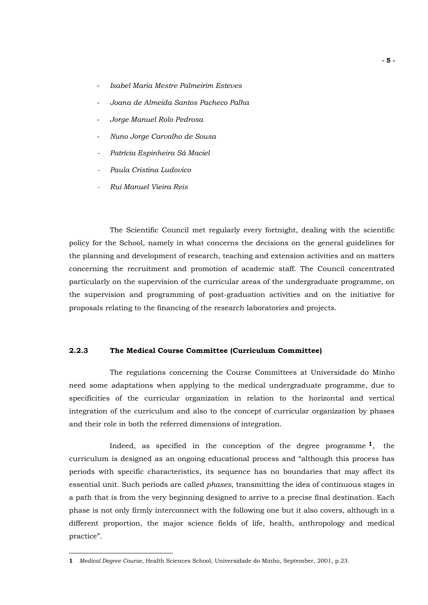- *Isabel Maria Mestre Palmeirim Esteves*
- *Joana de Almeida Santos Pacheco Palha*
- *Jorge Manuel Rolo Pedrosa*
- *Nuno Jorge Carvalho de Sousa*
- *Patrícia Espinheira Sá Maciel*
- $Paula$  Cristina Ludovico
- *Rui Manuel Vieira Reis*

The Scientific Council met regularly every fortnight, dealing with the scientific policy for the School, namely in what concerns the decisions on the general guidelines for the planning and development of research, teaching and extension activities and on matters concerning the recruitment and promotion of academic staff. The Council concentrated particularly on the supervision of the curricular areas of the undergraduate programme, on the supervision and programming of post-graduation activities and on the initiative for proposals relating to the financing of the research laboratories and projects.

## **2.2.3 The Medical Course Committee (Curriculum Committee)**

The regulations concerning the Course Committees at Universidade do Minho need some adaptations when applying to the medical undergraduate programme, due to specificities of the curricular organization in relation to the horizontal and vertical integration of the curriculum and also to the concept of curricular organization by phases and their role in both the referred dimensions of integration.

Indeed, as specified in the conception of the degree programme  $1$ , the curriculum is designed as an ongoing educational process and "although this process has periods with specific characteristics, its sequence has no boundaries that may affect its essential unit. Such periods are called *phases*, transmitting the idea of continuous stages in a path that is from the very beginning designed to arrive to a precise final destination. Each phase is not only firmly interconnect with the following one but it also covers, although in a different proportion, the major science fields of life, health, anthropology and medical practice".

 $\overline{a}$ 

<span id="page-4-0"></span>**<sup>1</sup>** *Medical Degree Course*, Health Sciences School, Universidade do Minho, September, 2001, p.23.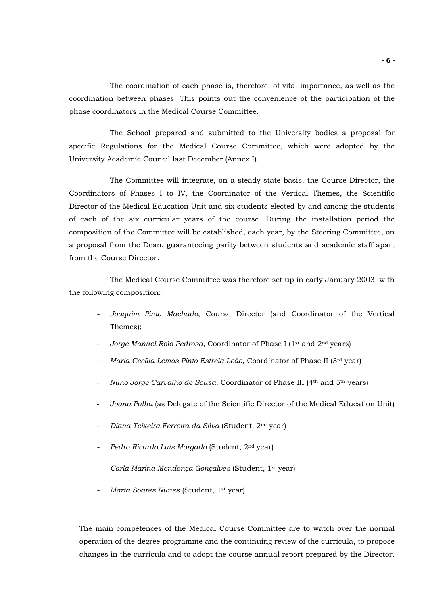The coordination of each phase is, therefore, of vital importance, as well as the coordination between phases. This points out the convenience of the participation of the phase coordinators in the Medical Course Committee.

The School prepared and submitted to the University bodies a proposal for specific Regulations for the Medical Course Committee, which were adopted by the University Academic Council last December (Annex I).

The Committee will integrate, on a steady-state basis, the Course Director, the Coordinators of Phases I to IV, the Coordinator of the Vertical Themes, the Scientific Director of the Medical Education Unit and six students elected by and among the students of each of the six curricular years of the course. During the installation period the composition of the Committee will be established, each year, by the Steering Committee, on a proposal from the Dean, guaranteeing parity between students and academic staff apart from the Course Director.

The Medical Course Committee was therefore set up in early January 2003, with the following composition:

- *Joaquim Pinto Machado*, Course Director (and Coordinator of the Vertical Themes);
- Jorge Manuel Rolo Pedrosa, Coordinator of Phase I (1<sup>st</sup> and 2<sup>nd</sup> years)
- *Maria Cecília Lemos Pinto Estrela Leão*, Coordinator of Phase II (3<sup>rd</sup> year)
- *Nuno Jorge Carvalho de Sousa*, Coordinator of Phase III (4th and 5th years)
- *Joana Palha* (as Delegate of the Scientific Director of the Medical Education Unit)
- *Diana Teixeira Ferreira da Silva* (Student, 2nd year)
- *Pedro Ricardo Luís Morgado* (Student, 2nd year)
- *Carla Marina Mendonça Gonçalves* (Student, 1st year)
- *Marta Soares Nunes* (Student, 1st year)

 The main competences of the Medical Course Committee are to watch over the normal operation of the degree programme and the continuing review of the curricula, to propose changes in the curricula and to adopt the course annual report prepared by the Director.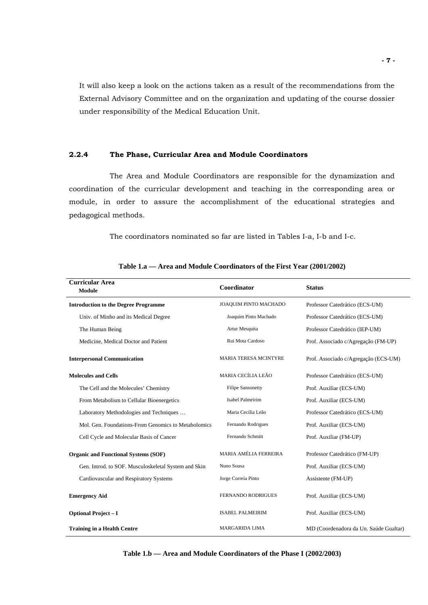It will also keep a look on the actions taken as a result of the recommendations from the External Advisory Committee and on the organization and updating of the course dossier under responsibility of the Medical Education Unit.

## **2.2.4 The Phase, Curricular Area and Module Coordinators**

The Area and Module Coordinators are responsible for the dynamization and coordination of the curricular development and teaching in the corresponding area or module, in order to assure the accomplishment of the educational strategies and pedagogical methods.

The coordinators nominated so far are listed in Tables I-a, I-b and I-c.

| <b>Curricular Area</b><br><b>Module</b>              | Coordinator                  | <b>Status</b>                          |
|------------------------------------------------------|------------------------------|----------------------------------------|
| <b>Introduction to the Degree Programme</b>          | JOAQUIM PINTO MACHADO        | Professor Catedrático (ECS-UM)         |
| Univ. of Minho and its Medical Degree                | Joaquim Pinto Machado        | Professor Catedrático (ECS-UM)         |
| The Human Being                                      | Artur Mesquita               | Professor Catedrático (IEP-UM)         |
| Medicine, Medical Doctor and Patient                 | Rui Mota Cardoso             | Prof. Associado c/Agregação (FM-UP)    |
| <b>Interpersonal Communication</b>                   | <b>MARIA TERESA MCINTYRE</b> | Prof. Associado c/Agregação (ECS-UM)   |
| <b>Molecules and Cells</b>                           | MARIA CECÍLIA LEÃO           | Professor Catedrático (ECS-UM)         |
| The Cell and the Molecules' Chemistry                | <b>Filipe Sansonetty</b>     | Prof. Auxiliar (ECS-UM)                |
| From Metabolism to Cellular Bioenergetics            | <b>Isabel Palmeirim</b>      | Prof. Auxiliar (ECS-UM)                |
| Laboratory Methodologies and Techniques              | Maria Cecília Leão           | Professor Catedrático (ECS-UM)         |
| Mol. Gen. Foundations-From Genomics to Metabolomics  | Fernando Rodrigues           | Prof. Auxiliar (ECS-UM)                |
| Cell Cycle and Molecular Basis of Cancer             | Fernando Schmitt             | Prof. Auxiliar (FM-UP)                 |
| <b>Organic and Functional Systems (SOF)</b>          | MARIA AMÉLIA FERREIRA        | Professor Catedrático (FM-UP)          |
| Gen. Introd. to SOF. Musculoskeletal System and Skin | Nuno Sousa                   | Prof. Auxiliar (ECS-UM)                |
| Cardiovascular and Respiratory Systems               | Jorge Correia Pinto          | Assistente (FM-UP)                     |
| <b>Emergency Aid</b>                                 | FERNANDO RODRIGUES           | Prof. Auxiliar (ECS-UM)                |
| <b>Optional Project - I</b>                          | <b>ISABEL PALMEIRIM</b>      | Prof. Auxiliar (ECS-UM)                |
| <b>Training in a Health Centre</b>                   | <b>MARGARIDA LIMA</b>        | MD (Coordenadora da Un. Saúde Gualtar) |

|  | Table 1.a — Area and Module Coordinators of the First Year (2001/2002) |  |  |  |  |
|--|------------------------------------------------------------------------|--|--|--|--|
|--|------------------------------------------------------------------------|--|--|--|--|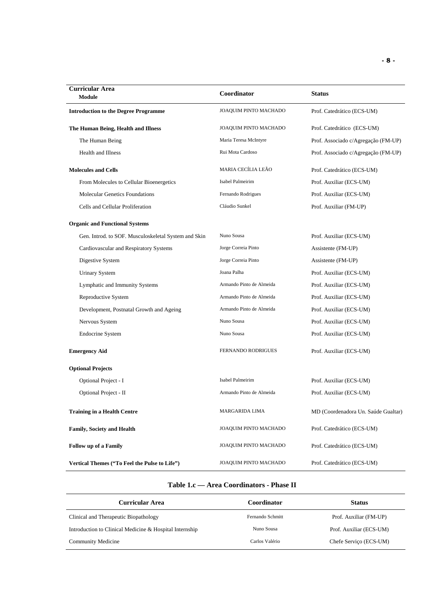| <b>Curricular Area</b><br>Module                     | Coordinator              | <b>Status</b>                       |
|------------------------------------------------------|--------------------------|-------------------------------------|
| <b>Introduction to the Degree Programme</b>          | JOAQUIM PINTO MACHADO    | Prof. Catedrático (ECS-UM)          |
| The Human Being, Health and Illness                  | JOAQUIM PINTO MACHADO    | Prof. Catedrático (ECS-UM)          |
| The Human Being                                      | Maria Teresa McIntyre    | Prof. Associado c/Agregação (FM-UP) |
| Health and Illness                                   | Rui Mota Cardoso         | Prof. Associado c/Agregação (FM-UP) |
| <b>Molecules and Cells</b>                           | MARIA CECÍLIA LEÃO       | Prof. Catedrático (ECS-UM)          |
| From Molecules to Cellular Bioenergetics             | Isabel Palmeirim         | Prof. Auxiliar (ECS-UM)             |
| <b>Molecular Genetics Foundations</b>                | Fernando Rodrigues       | Prof. Auxiliar (ECS-UM)             |
| Cells and Cellular Proliferation                     | Cláudio Sunkel           | Prof. Auxiliar (FM-UP)              |
| <b>Organic and Functional Systems</b>                |                          |                                     |
| Gen. Introd. to SOF. Musculoskeletal System and Skin | Nuno Sousa               | Prof. Auxiliar (ECS-UM)             |
| Cardiovascular and Respiratory Systems               | Jorge Correia Pinto      | Assistente (FM-UP)                  |
| Digestive System                                     | Jorge Correia Pinto      | Assistente (FM-UP)                  |
| <b>Urinary System</b>                                | Joana Palha              | Prof. Auxiliar (ECS-UM)             |
| Lymphatic and Immunity Systems                       | Armando Pinto de Almeida | Prof. Auxiliar (ECS-UM)             |
| Reproductive System                                  | Armando Pinto de Almeida | Prof. Auxiliar (ECS-UM)             |
| Development, Postnatal Growth and Ageing             | Armando Pinto de Almeida | Prof. Auxiliar (ECS-UM)             |
| Nervous System                                       | Nuno Sousa               | Prof. Auxiliar (ECS-UM)             |
| <b>Endocrine System</b>                              | Nuno Sousa               | Prof. Auxiliar (ECS-UM)             |
| <b>Emergency Aid</b>                                 | FERNANDO RODRIGUES       | Prof. Auxiliar (ECS-UM)             |
| <b>Optional Projects</b>                             |                          |                                     |
| Optional Project - I                                 | Isabel Palmeirim         | Prof. Auxiliar (ECS-UM)             |
| Optional Project - II                                | Armando Pinto de Almeida | Prof. Auxiliar (ECS-UM)             |
| <b>Training in a Health Centre</b>                   | MARGARIDA LIMA           | MD (Coordenadora Un. Saúde Gualtar) |
| <b>Family, Society and Health</b>                    | JOAQUIM PINTO MACHADO    | Prof. Catedrático (ECS-UM)          |
| <b>Follow up of a Family</b>                         | JOAQUIM PINTO MACHADO    | Prof. Catedrático (ECS-UM)          |
| Vertical Themes ("To Feel the Pulse to Life")        | JOAQUIM PINTO MACHADO    | Prof. Catedrático (ECS-UM)          |

## **Table 1.c — Area Coordinators - Phase II**

| Curricular Area                                         | Coordinator      | <b>Status</b>           |
|---------------------------------------------------------|------------------|-------------------------|
| Clinical and Therapeutic Biopathology                   | Fernando Schmitt | Prof. Auxiliar (FM-UP)  |
| Introduction to Clinical Medicine & Hospital Internship | Nuno Sousa       | Prof. Auxiliar (ECS-UM) |
| Community Medicine                                      | Carlos Valério   | Chefe Serviço (ECS-UM)  |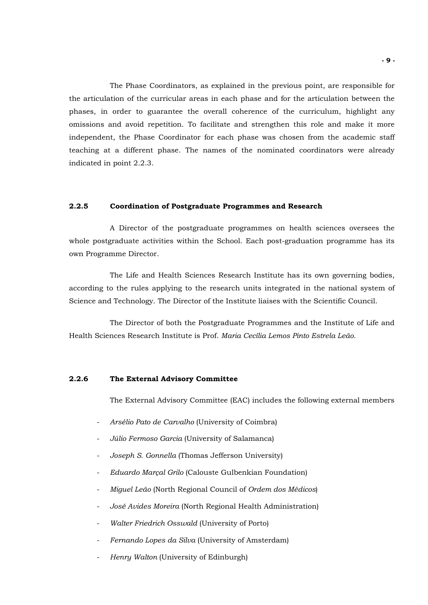The Phase Coordinators, as explained in the previous point, are responsible for the articulation of the curricular areas in each phase and for the articulation between the phases, in order to guarantee the overall coherence of the curriculum, highlight any omissions and avoid repetition. To facilitate and strengthen this role and make it more independent, the Phase Coordinator for each phase was chosen from the academic staff teaching at a different phase. The names of the nominated coordinators were already indicated in point 2.2.3.

## **2.2.5 Coordination of Postgraduate Programmes and Research**

A Director of the postgraduate programmes on health sciences oversees the whole postgraduate activities within the School. Each post-graduation programme has its own Programme Director.

The Life and Health Sciences Research Institute has its own governing bodies, according to the rules applying to the research units integrated in the national system of Science and Technology. The Director of the Institute liaises with the Scientific Council.

The Director of both the Postgraduate Programmes and the Institute of Life and Health Sciences Research Institute is Prof. *Maria Cecília Lemos Pinto Estrela Leão*.

## **2.2.6 The External Advisory Committee**

The External Advisory Committee (EAC) includes the following external members

- *Arsélio Pato de Carvalho* (University of Coimbra)
- *Júlio Fermoso Garcia* (University of Salamanca)
- *Joseph S. Gonnella* (Thomas Jefferson University)
- *Eduardo Marçal Grilo* (Calouste Gulbenkian Foundation)
- *Miguel Leão* (North Regional Council of *Ordem dos Médicos*)
- *José Avides Moreira* (North Regional Health Administration)
- *Walter Friedrich Osswald* (University of Porto)
- *Fernando Lopes da Silva* (University of Amsterdam)
- *Henry Walton* (University of Edinburgh)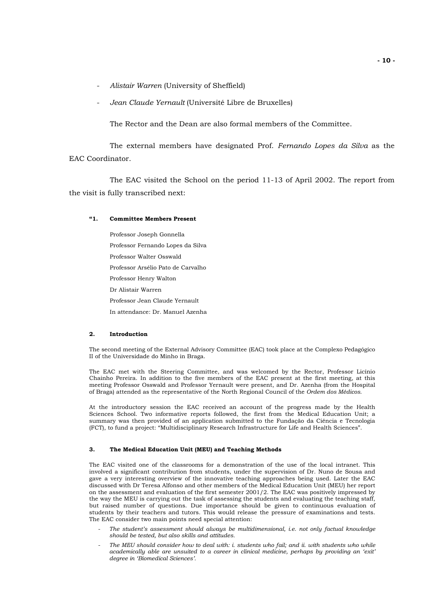- *Alistair Warren* (University of Sheffield)
- *Jean Claude Yernault* (Université Libre de Bruxelles)

The Rector and the Dean are also formal members of the Committee.

The external members have designated Prof. *Fernando Lopes da Silva* as the EAC Coordinator.

The EAC visited the School on the period 11-13 of April 2002. The report from the visit is fully transcribed next:

## **"1. Committee Members Present**

 Professor Joseph Gonnella Professor Fernando Lopes da Silva Professor Walter Osswald Professor Arsélio Pato de Carvalho Professor Henry Walton Dr Alistair Warren Professor Jean Claude Yernault In attendance: Dr. Manuel Azenha

## **2. Introduction**

The second meeting of the External Advisory Committee (EAC) took place at the Complexo Pedagógico II of the Universidade do Minho in Braga.

The EAC met with the Steering Committee, and was welcomed by the Rector, Professor Licínio Chainho Pereira. In addition to the five members of the EAC present at the first meeting, at this meeting Professor Osswald and Professor Yernault were present, and Dr. Azenha (from the Hospital of Braga) attended as the representative of the North Regional Council of the *Ordem dos Médicos*.

At the introductory session the EAC received an account of the progress made by the Health Sciences School. Two informative reports followed, the first from the Medical Education Unit; a summary was then provided of an application submitted to the Fundação da Ciência e Tecnologia (FCT), to fund a project: "Multidisciplinary Research Infrastructure for Life and Health Sciences".

#### **3. The Medical Education Unit (MEU) and Teaching Methods**

The EAC visited one of the classrooms for a demonstration of the use of the local intranet. This involved a significant contribution from students, under the supervision of Dr. Nuno de Sousa and gave a very interesting overview of the innovative teaching approaches being used. Later the EAC discussed with Dr Teresa Alfonso and other members of the Medical Education Unit (MEU) her report on the assessment and evaluation of the first semester 2001/2. The EAC was positively impressed by the way the MEU is carrying out the task of assessing the students and evaluating the teaching staff, but raised number of questions. Due importance should be given to continuous evaluation of students by their teachers and tutors. This would release the pressure of examinations and tests. The EAC consider two main points need special attention:

- *The student's assessment should always be multidimensional, i.e. not only factual knowledge should be tested, but also skills and attitudes.*
- The MEU should consider how to deal with: i. students who fail; and ii. with students who while *academically able are unsuited to a career in clinical medicine, perhaps by providing an 'exit' degree in 'Biomedical Sciences'.*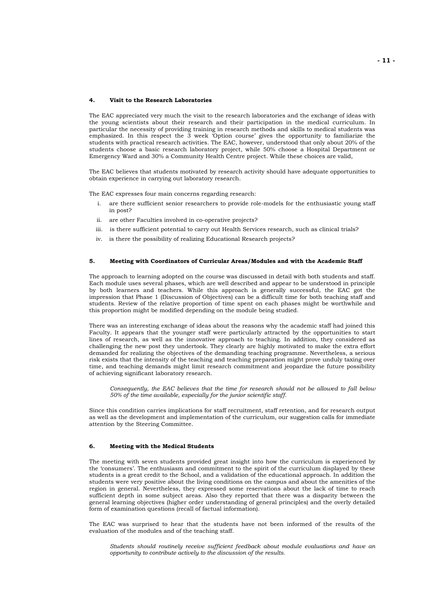#### **4. Visit to the Research Laboratories**

The EAC appreciated very much the visit to the research laboratories and the exchange of ideas with the young scientists about their research and their participation in the medical curriculum. In particular the necessity of providing training in research methods and skills to medical students was emphasized. In this respect the 3 week 'Option course' gives the opportunity to familiarize the students with practical research activities. The EAC, however, understood that only about 20% of the students choose a basic research laboratory project, while 50% choose a Hospital Department or Emergency Ward and 30% a Community Health Centre project. While these choices are valid,

The EAC believes that students motivated by research activity should have adequate opportunities to obtain experience in carrying out laboratory research.

The EAC expresses four main concerns regarding research:

- are there sufficient senior researchers to provide role-models for the enthusiastic young staff in post?
- ii. are other Faculties involved in co-operative projects?
- iii. is there sufficient potential to carry out Health Services research, such as clinical trials?
- iv. is there the possibility of realizing Educational Research projects?

#### **5. Meeting with Coordinators of Curricular Areas/Modules and with the Academic Staff**

The approach to learning adopted on the course was discussed in detail with both students and staff. Each module uses several phases, which are well described and appear to be understood in principle by both learners and teachers. While this approach is generally successful, the EAC got the impression that Phase 1 (Discussion of Objectives) can be a difficult time for both teaching staff and students. Review of the relative proportion of time spent on each phases might be worthwhile and this proportion might be modified depending on the module being studied.

There was an interesting exchange of ideas about the reasons why the academic staff had joined this Faculty. It appears that the younger staff were particularly attracted by the opportunities to start lines of research, as well as the innovative approach to teaching. In addition, they considered as challenging the new post they undertook. They clearly are highly motivated to make the extra effort demanded for realizing the objectives of the demanding teaching programme. Nevertheless, a serious risk exists that the intensity of the teaching and teaching preparation might prove unduly taxing over time, and teaching demands might limit research commitment and jeopardize the future possibility of achieving significant laboratory research.

 *Consequently, the EAC believes that the time for research should not be allowed to fall below 50% of the time available, especially for the junior scientific staff.* 

Since this condition carries implications for staff recruitment, staff retention, and for research output as well as the development and implementation of the curriculum, our suggestion calls for immediate attention by the Steering Committee.

#### **6. Meeting with the Medical Students**

The meeting with seven students provided great insight into how the curriculum is experienced by the 'consumers'. The enthusiasm and commitment to the spirit of the curriculum displayed by these students is a great credit to the School, and a validation of the educational approach. In addition the students were very positive about the living conditions on the campus and about the amenities of the region in general. Nevertheless, they expressed some reservations about the lack of time to reach sufficient depth in some subject areas. Also they reported that there was a disparity between the general learning objectives (higher order understanding of general principles) and the overly detailed form of examination questions (recall of factual information).

The EAC was surprised to hear that the students have not been informed of the results of the evaluation of the modules and of the teaching staff.

 *Students should routinely receive sufficient feedback about module evaluations and have an opportunity to contribute actively to the discussion of the results.*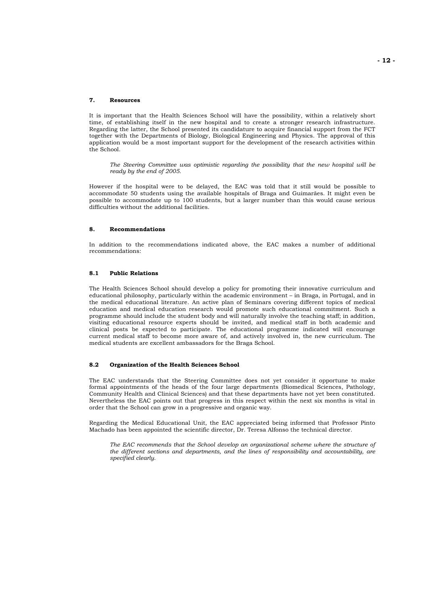#### **7. Resources**

It is important that the Health Sciences School will have the possibility, within a relatively short time, of establishing itself in the new hospital and to create a stronger research infrastructure. Regarding the latter, the School presented its candidature to acquire financial support from the FCT together with the Departments of Biology, Biological Engineering and Physics. The approval of this application would be a most important support for the development of the research activities within the School.

 *The Steering Committee was optimistic regarding the possibility that the new hospital will be ready by the end of 2005.* 

However if the hospital were to be delayed, the EAC was told that it still would be possible to accommodate 50 students using the available hospitals of Braga and Guimarães. It might even be possible to accommodate up to 100 students, but a larger number than this would cause serious difficulties without the additional facilities.

#### **8. Recommendations**

In addition to the recommendations indicated above, the EAC makes a number of additional recommendations:

#### **8.1 Public Relations**

The Health Sciences School should develop a policy for promoting their innovative curriculum and educational philosophy, particularly within the academic environment – in Braga, in Portugal, and in the medical educational literature. An active plan of Seminars covering different topics of medical education and medical education research would promote such educational commitment. Such a programme should include the student body and will naturally involve the teaching staff; in addition, visiting educational resource experts should be invited, and medical staff in both academic and clinical posts be expected to participate. The educational programme indicated will encourage current medical staff to become more aware of, and actively involved in, the new curriculum. The medical students are excellent ambassadors for the Braga School.

#### **8.2 Organization of the Health Sciences School**

The EAC understands that the Steering Committee does not yet consider it opportune to make formal appointments of the heads of the four large departments (Biomedical Sciences, Pathology, Community Health and Clinical Sciences) and that these departments have not yet been constituted. Nevertheless the EAC points out that progress in this respect within the next six months is vital in order that the School can grow in a progressive and organic way.

Regarding the Medical Educational Unit, the EAC appreciated being informed that Professor Pinto Machado has been appointed the scientific director, Dr. Teresa Alfonso the technical director.

 *The EAC recommends that the School develop an organizational scheme where the structure of the different sections and departments, and the lines of responsibility and accountability, are specified clearly.*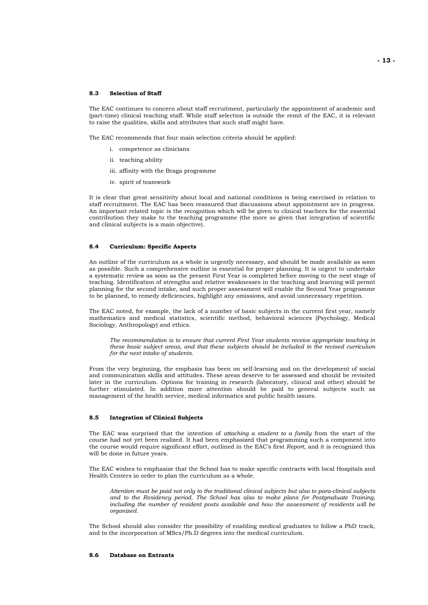#### **8.3 Selection of Staff**

The EAC continues to concern about staff recruitment, particularly the appointment of academic and (part-time) clinical teaching staff. While staff selection is outside the remit of the EAC, it is relevant to raise the qualities, skills and attributes that such staff might have.

The EAC recommends that four main selection criteria should be applied:

- i. competence as clinicians
	- ii. teaching ability
	- iii. affinity with the Braga programme
	- iv. spirit of teamwork

It is clear that great sensitivity about local and national conditions is being exercised in relation to staff recruitment. The EAC has been reassured that discussions about appointment are in progress. An important related topic is the recognition which will be given to clinical teachers for the essential contribution they make to the teaching programme (the more so given that integration of scientific and clinical subjects is a main objective).

#### **8.4 Curriculum: Specific Aspects**

An outline of the curriculum as a whole is urgently necessary, and should be made available as soon as possible. Such a comprehensive outline is essential for proper planning. It is urgent to undertake a systematic review as soon as the present First Year is completed before moving to the next stage of teaching. Identification of strengths and relative weaknesses in the teaching and learning will permit planning for the second intake, and such proper assessment will enable the Second Year programme to be planned, to remedy deficiencies, highlight any omissions, and avoid unnecessary repetition.

The EAC noted, for example, the lack of a number of basic subjects in the current first year, namely mathematics and medical statistics, scientific method, behavioral sciences (Psychology, Medical Sociology, Anthropology) and ethics.

 *The recommendation is to ensure that current First Year students receive appropriate teaching in these basic subject areas, and that these subjects should be included in the revised curriculum for the next intake of students.* 

From the very beginning, the emphasis has been on self-learning and on the development of social and communication skills and attitudes. These areas deserve to be assessed and should be revisited later in the curriculum. Options for training in research (laboratory, clinical and other) should be further stimulated. In addition more attention should be paid to general subjects such as management of the health service, medical informatics and public health issues.

#### **8.5 Integration of Clinical Subjects**

The EAC was surprised that the intention of *attaching a student to a family* from the start of the course had not yet been realized. It had been emphasized that programming such a component into the course would require significant effort, outlined in the EAC's first *Report*, and it is recognized this will be done in future years.

The EAC wishes to emphasize that the School has to make specific contracts with local Hospitals and Health Centers in order to plan the curriculum as a whole.

 *Attention must be paid not only to the traditional clinical subjects but also to para-clinical subjects and to the Residency period. The School has also to make plans for Postgraduate Training, including the number of resident posts available and how the assessment of residents will be organized.* 

The School should also consider the possibility of enabling medical graduates to follow a PhD track, and to the incorporation of MScs/Ph.D degrees into the medical curriculum.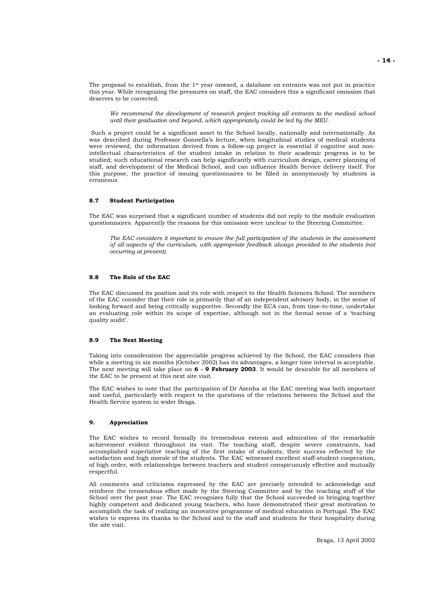The proposal to establish, from the  $1<sup>st</sup>$  year onward, a database on entrants was not put in practice this year. While recognizing the pressures on staff, the EAC considers this a significant omission that deserves to be corrected.

 *We recommend the development of research project tracking all entrants to the medical school until their graduation and beyond, which appropriately could be led by the MEU.* 

 Such a project could be a significant asset to the School locally, nationally and internationally. As was described during Professor Gonnella's lecture, when longitudinal studies of medical students were reviewed, the information derived from a follow-up project is essential if cognitive and nonintellectual characteristics of the student intake in relation to their academic progress is to be studied; such educational research can help significantly with curriculum design, career planning of staff, and development of the Medical School, and can influence Health Service delivery itself. For this purpose, the practice of issuing questionnaires to be filled in anonymously by students is erroneous

#### **8.7 Student Participation**

The EAC was surprised that a significant number of students did not reply to the module evaluation questionnaires. Apparently the reasons for this omission were unclear to the Steering Committee.

 *The EAC considers it important to ensure the full participation of the students in the assessment of all aspects of the curriculum, with appropriate feedback always provided to the students (not occurring at present).* 

#### **8.8 The Role of the EAC**

The EAC discussed its position and its role with respect to the Health Sciences School. The members of the EAC consider that their role is primarily that of an independent advisory body, in the sense of looking forward and being critically supportive. Secondly the ECA can, from time-to-time, undertake an evaluating role within its scope of expertise, although not in the formal sense of a 'teaching quality audit'.

#### **8.9 The Next Meeting**

Taking into consideration the appreciable progress achieved by the School, the EAC considers that while a meeting in six months (October 2002) has its advantages, a longer time interval is acceptable. The next meeting will take place on **6 - 9 February 2003**. It would be desirable for all members of the EAC to be present at this next site visit.

The EAC wishes to note that the participation of Dr Azenha at the EAC meeting was both important and useful, particularly with respect to the questions of the relations between the School and the Health Service system in wider Braga.

#### **9. Appreciation**

The EAC wishes to record formally its tremendous esteem and admiration of the remarkable achievement evident throughout its visit. The teaching staff, despite severe constraints, had accomplished superlative teaching of the first intake of students, their success reflected by the satisfaction and high morale of the students. The EAC witnessed excellent staff-student cooperation, of high order, with relationships between teachers and student conspicuously effective and mutually respectful.

All comments and criticisms expressed by the EAC are precisely intended to acknowledge and reinforce the tremendous effort made by the Steering Committee and by the teaching staff of the School over the past year. The EAC recognizes fully that the School succeeded in bringing together highly competent and dedicated young teachers, who have demonstrated their great motivation to accomplish the task of realizing an innovative programme of medical education in Portugal. The EAC wishes to express its thanks to the School and to the staff and students for their hospitality during the site visit.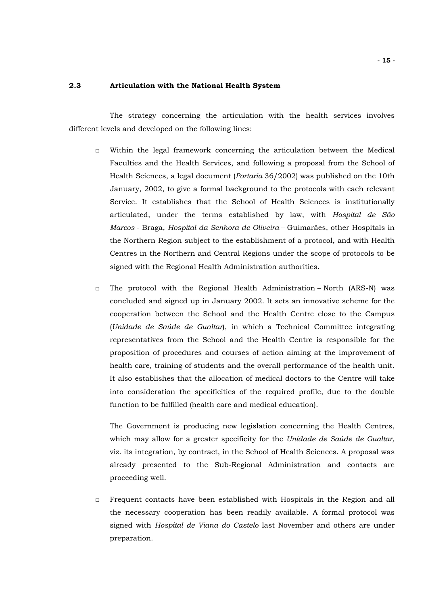## **2.3 Articulation with the National Health System**

 The strategy concerning the articulation with the health services involves different levels and developed on the following lines:

- □ Within the legal framework concerning the articulation between the Medical Faculties and the Health Services, and following a proposal from the School of Health Sciences, a legal document (*Portaria* 36/2002) was published on the 10th January, 2002, to give a formal background to the protocols with each relevant Service. It establishes that the School of Health Sciences is institutionally articulated, under the terms established by law, with *Hospital de São Marcos* - Braga, *Hospital da Senhora de Oliveira* – Guimarães, other Hospitals in the Northern Region subject to the establishment of a protocol, and with Health Centres in the Northern and Central Regions under the scope of protocols to be signed with the Regional Health Administration authorities.
- $\Box$  The protocol with the Regional Health Administration North (ARS-N) was concluded and signed up in January 2002. It sets an innovative scheme for the cooperation between the School and the Health Centre close to the Campus (*Unidade de Saúde de Gualtar*), in which a Technical Committee integrating representatives from the School and the Health Centre is responsible for the proposition of procedures and courses of action aiming at the improvement of health care, training of students and the overall performance of the health unit. It also establishes that the allocation of medical doctors to the Centre will take into consideration the specificities of the required profile, due to the double function to be fulfilled (health care and medical education).

 The Government is producing new legislation concerning the Health Centres, which may allow for a greater specificity for the *Unidade de Saúde de Gualtar,*  viz. its integration, by contract, in the School of Health Sciences. A proposal was already presented to the Sub-Regional Administration and contacts are proceeding well.

□ Frequent contacts have been established with Hospitals in the Region and all the necessary cooperation has been readily available. A formal protocol was signed with *Hospital de Viana do Castelo* last November and others are under preparation.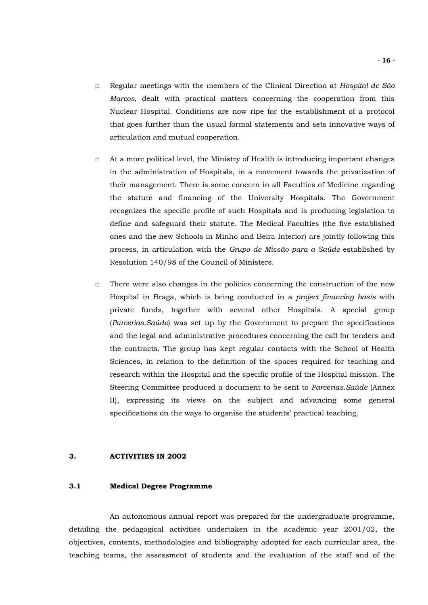- □ Regular meetings with the members of the Clinical Direction at *Hospital de São Marcos*, dealt with practical matters concerning the cooperation from this Nuclear Hospital. Conditions are now ripe for the establishment of a protocol that goes further than the usual formal statements and sets innovative ways of articulation and mutual cooperation.
- □ At a more political level, the Ministry of Health is introducing important changes in the administration of Hospitals, in a movement towards the privatization of their management. There is some concern in all Faculties of Medicine regarding the statute and financing of the University Hospitals. The Government recognizes the specific profile of such Hospitals and is producing legislation to define and safeguard their statute. The Medical Faculties (the five established ones and the new Schools in Minho and Beira Interior) are jointly following this process, in articulation with the *Grupo de Missão para a Saúde* established by Resolution 140/98 of the Council of Ministers.
- □ There were also changes in the policies concerning the construction of the new Hospital in Braga, which is being conducted in a *project financing basis* with private funds, together with several other Hospitals. A special group (*Parcerias.Saúde*) was set up by the Government to prepare the specifications and the legal and administrative procedures concerning the call for tenders and the contracts. The group has kept regular contacts with the School of Health Sciences, in relation to the definition of the spaces required for teaching and research within the Hospital and the specific profile of the Hospital mission. The Steering Committee produced a document to be sent to *Parcerias.Saúde* (Annex II), expressing its views on the subject and advancing some general specifications on the ways to organise the students' practical teaching.

## **3. ACTIVITIES IN 2002**

## **3.1 Medical Degree Programme**

An autonomous annual report was prepared for the undergraduate programme, detailing the pedagogical activities undertaken in the academic year 2001/02, the objectives, contents, methodologies and bibliography adopted for each curricular area, the teaching teams, the assessment of students and the evaluation of the staff and of the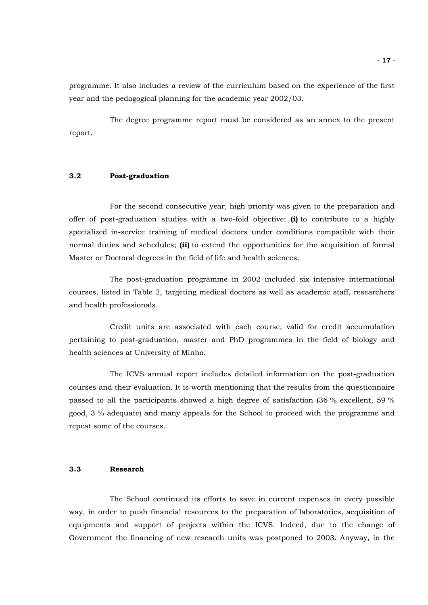programme. It also includes a review of the curriculum based on the experience of the first year and the pedagogical planning for the academic year 2002/03.

The degree programme report must be considered as an annex to the present report.

## **3.2 Post-graduation**

For the second consecutive year, high priority was given to the preparation and offer of post-graduation studies with a two-fold objective: **(i)** to contribute to a highly specialized in-service training of medical doctors under conditions compatible with their normal duties and schedules; **(ii)** to extend the opportunities for the acquisition of formal Master or Doctoral degrees in the field of life and health sciences.

The post-graduation programme in 2002 included six intensive international courses, listed in Table 2, targeting medical doctors as well as academic staff, researchers and health professionals.

Credit units are associated with each course, valid for credit accumulation pertaining to post-graduation, master and PhD programmes in the field of biology and health sciences at University of Minho.

The ICVS annual report includes detailed information on the post-graduation courses and their evaluation. It is worth mentioning that the results from the questionnaire passed to all the participants showed a high degree of satisfaction (36 % excellent, 59 % good, 3 % adequate) and many appeals for the School to proceed with the programme and repeat some of the courses.

## **3.3 Research**

The School continued its efforts to save in current expenses in every possible way, in order to push financial resources to the preparation of laboratories, acquisition of equipments and support of projects within the ICVS. Indeed, due to the change of Government the financing of new research units was postponed to 2003. Anyway, in the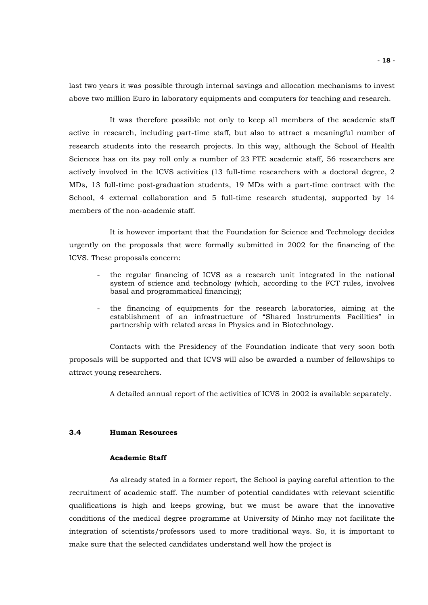last two years it was possible through internal savings and allocation mechanisms to invest above two million Euro in laboratory equipments and computers for teaching and research.

It was therefore possible not only to keep all members of the academic staff active in research, including part-time staff, but also to attract a meaningful number of research students into the research projects. In this way, although the School of Health Sciences has on its pay roll only a number of 23 FTE academic staff, 56 researchers are actively involved in the ICVS activities (13 full-time researchers with a doctoral degree, 2 MDs, 13 full-time post-graduation students, 19 MDs with a part-time contract with the School, 4 external collaboration and 5 full-time research students), supported by 14 members of the non-academic staff.

It is however important that the Foundation for Science and Technology decides urgently on the proposals that were formally submitted in 2002 for the financing of the ICVS. These proposals concern:

- the regular financing of ICVS as a research unit integrated in the national system of science and technology (which, according to the FCT rules, involves basal and programmatical financing);
- the financing of equipments for the research laboratories, aiming at the establishment of an infrastructure of "Shared Instruments Facilities" in partnership with related areas in Physics and in Biotechnology.

Contacts with the Presidency of the Foundation indicate that very soon both proposals will be supported and that ICVS will also be awarded a number of fellowships to attract young researchers.

A detailed annual report of the activities of ICVS in 2002 is available separately.

## **3.4 Human Resources**

## **Academic Staff**

As already stated in a former report, the School is paying careful attention to the recruitment of academic staff. The number of potential candidates with relevant scientific qualifications is high and keeps growing, but we must be aware that the innovative conditions of the medical degree programme at University of Minho may not facilitate the integration of scientists/professors used to more traditional ways. So, it is important to make sure that the selected candidates understand well how the project is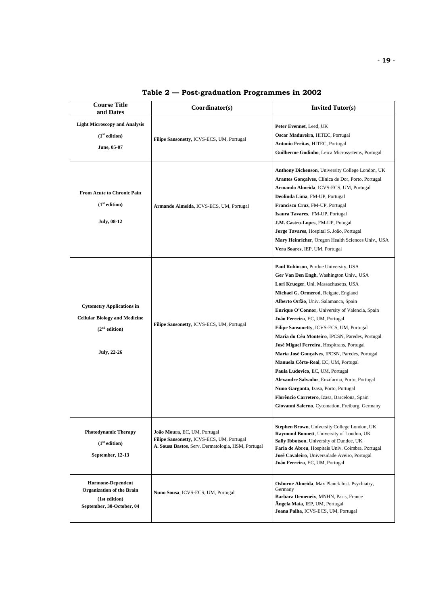| <b>Course Title</b><br>and Dates                                                                                            | Coordinator(s)                                                                                                                  | <b>Invited Tutor(s)</b>                                                                                                                                                                                                                                                                                                                                                                                                                                                                                                                                                                                                                                                                                                                                                    |
|-----------------------------------------------------------------------------------------------------------------------------|---------------------------------------------------------------------------------------------------------------------------------|----------------------------------------------------------------------------------------------------------------------------------------------------------------------------------------------------------------------------------------------------------------------------------------------------------------------------------------------------------------------------------------------------------------------------------------------------------------------------------------------------------------------------------------------------------------------------------------------------------------------------------------------------------------------------------------------------------------------------------------------------------------------------|
| <b>Light Microscopy and Analysis</b><br>(1 <sup>st</sup> edition)<br>June, 05-07                                            | Filipe Sansonetty, ICVS-ECS, UM, Portugal                                                                                       | Peter Evennet, Leed, UK<br>Oscar Madureira, HITEC, Portugal<br>Antonio Freitas, HITEC, Portugal<br>Guilherme Godinho, Leica Microsystems, Portugal                                                                                                                                                                                                                                                                                                                                                                                                                                                                                                                                                                                                                         |
| <b>From Acute to Chronic Pain</b><br>(1 <sup>st</sup> edition)<br><b>July, 08-12</b>                                        | Armando Almeida, ICVS-ECS, UM, Portugal                                                                                         | <b>Anthony Dickenson</b> , University College London, UK<br>Arantes Gonçalves, Clínica de Dor, Porto, Portugal<br>Armando Almeida, ICVS-ECS, UM, Portugal<br>Deolinda Lima, FM-UP, Portugal<br>Francisco Cruz, FM-UP, Portugal<br>Isaura Tavares, FM-UP, Portugal<br>J.M. Castro-Lopes, FM-UP, Potugal<br>Jorge Tavares, Hospital S. João, Portugal<br>Mary Heinricher, Oregon Health Sciences Univ., USA<br>Vera Soares, IEP, UM, Portugal                                                                                                                                                                                                                                                                                                                                |
| <b>Cytometry Applications in</b><br><b>Cellular Biology and Medicine</b><br>(2 <sup>nd</sup> edition)<br><b>July, 22-26</b> | Filipe Sansonetty, ICVS-ECS, UM, Portugal                                                                                       | Paul Robinson, Purdue University, USA<br>Ger Van Den Engh, Washington Univ., USA<br>Lori Krueger, Uni. Massachusetts, USA<br>Michael G. Ormerod, Reigate, England<br>Alberto Orfão, Univ. Salamanca, Spain<br>Enrique O'Connor, University of Valencia, Spain<br>João Ferreira, EC, UM, Portugal<br>Filipe Sansonetty, ICVS-ECS, UM, Portugal<br>Maria do Céu Monteiro, IPCSN, Paredes, Portugal<br>José Miguel Ferreira, Hospitrans, Portugal<br>Maria José Gonçalves, IPCSN, Paredes, Portugal<br>Manuela Côrte-Real, EC, UM, Portugal<br>Paula Ludovico, EC, UM, Portugal<br>Alexandre Salvador, Enzifarma, Porto, Portugal<br>Nuno Garganta, Izasa, Porto, Portugal<br>Florêncio Carretero, Izasa, Barcelona, Spain<br>Giovanni Salerno, Cytomation, Freiburg, Germany |
| <b>Photodynamic Therapy</b><br>(1 <sup>st</sup> edition)<br>September, 12-13                                                | João Moura, EC, UM, Portugal<br>Filipe Sansonetty, ICVS-ECS, UM, Portugal<br>A. Sousa Bastos, Serv. Dermatologia, HSM, Portugal | Stephen Brown, University College London, UK<br>Raymond Bonnett, University of London, UK<br>Sally Ibbotson, University of Dundee, UK<br>Faria de Abreu, Hospitais Univ. Coimbra, Portugal<br>José Cavaleiro, Universidade Aveiro, Portugal<br>João Ferreira, EC, UM, Portugal                                                                                                                                                                                                                                                                                                                                                                                                                                                                                             |
| <b>Hormone-Dependent</b><br><b>Organization of the Brain</b><br>(1st edition)<br>September, 30-October, 04                  | Nuno Sousa, ICVS-ECS, UM, Portugal                                                                                              | Osborne Almeida, Max Planck Inst. Psychiatry,<br>Germany<br>Barbara Demeneix, MNHN, Paris, France<br>Angela Maia, IEP, UM, Portugal<br>Joana Palha, ICVS-ECS, UM, Portugal                                                                                                                                                                                                                                                                                                                                                                                                                                                                                                                                                                                                 |

## **Table 2 — Post-graduation Programmes in 2002**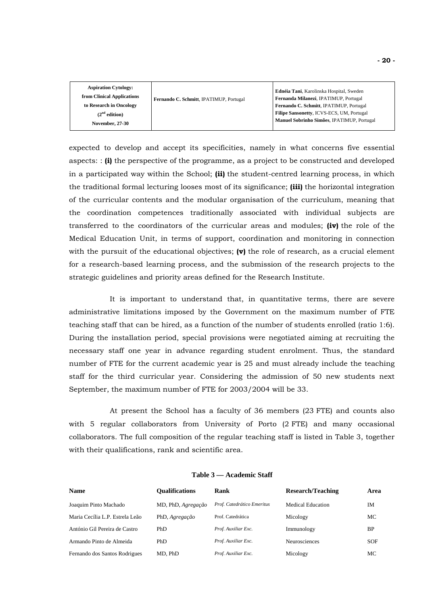| <b>Aspiration Cytology:</b><br>from Clinical Applications<br>Fernando C. Schmitt, IPATIMUP, Portugal<br>to Research in Oncology<br>(2 <sup>nd</sup> edition)<br><b>November, 27-30</b> | Ednéia Tani, Karolinska Hospital, Sweden<br>Fernanda Milanezi, IPATIMUP, Portugal<br>Fernando C. Schmitt, IPATIMUP, Portugal<br>Filipe Sansonetty, ICVS-ECS, UM, Portugal<br>Manuel Sobrinho Simões, IPATIMUP, Portugal |
|----------------------------------------------------------------------------------------------------------------------------------------------------------------------------------------|-------------------------------------------------------------------------------------------------------------------------------------------------------------------------------------------------------------------------|
|----------------------------------------------------------------------------------------------------------------------------------------------------------------------------------------|-------------------------------------------------------------------------------------------------------------------------------------------------------------------------------------------------------------------------|

expected to develop and accept its specificities, namely in what concerns five essential aspects: : **(i)** the perspective of the programme, as a project to be constructed and developed in a participated way within the School; **(ii)** the student-centred learning process, in which the traditional formal lecturing looses most of its significance; **(iii)** the horizontal integration of the curricular contents and the modular organisation of the curriculum, meaning that the coordination competences traditionally associated with individual subjects are transferred to the coordinators of the curricular areas and modules; **(iv)** the role of the Medical Education Unit, in terms of support, coordination and monitoring in connection with the pursuit of the educational objectives; **(v)** the role of research, as a crucial element for a research-based learning process, and the submission of the research projects to the strategic guidelines and priority areas defined for the Research Institute.

It is important to understand that, in quantitative terms, there are severe administrative limitations imposed by the Government on the maximum number of FTE teaching staff that can be hired, as a function of the number of students enrolled (ratio 1:6). During the installation period, special provisions were negotiated aiming at recruiting the necessary staff one year in advance regarding student enrolment. Thus, the standard number of FTE for the current academic year is 25 and must already include the teaching staff for the third curricular year. Considering the admission of 50 new students next September, the maximum number of FTE for 2003/2004 will be 33.

At present the School has a faculty of 36 members (23 FTE) and counts also with 5 regular collaborators from University of Porto (2 FTE) and many occasional collaborators. The full composition of the regular teaching staff is listed in Table 3, together with their qualifications, rank and scientific area.

| <b>Name</b>                     | <b>Oualifications</b> | Rank                       | <b>Research/Teaching</b> | Area       |
|---------------------------------|-----------------------|----------------------------|--------------------------|------------|
| Joaquim Pinto Machado           | MD, PhD, Agregação    | Prof. Catedrático Emeritus | <b>Medical Education</b> | IM         |
| Maria Cecília L.P. Estrela Leão | PhD, Agregação        | Prof. Catedrática          | Micology                 | МC         |
| António Gil Pereira de Castro   | PhD                   | Prof. Auxiliar Exc.        | Immunology               | <b>BP</b>  |
| Armando Pinto de Almeida        | PhD                   | Prof. Auxiliar Exc.        | <b>Neurosciences</b>     | <b>SOF</b> |
| Fernando dos Santos Rodrigues   | MD, PhD               | Prof. Auxiliar Exc.        | Micology                 | МC         |

#### **Table 3 — Academic Staff**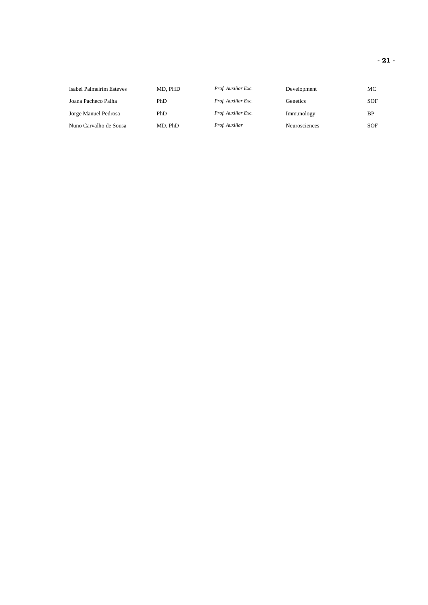| Isabel Palmeirim Esteves | MD, PHD | Prof. Auxiliar Exc. | Development   | МC  |
|--------------------------|---------|---------------------|---------------|-----|
| Joana Pacheco Palha      | PhD     | Prof. Auxiliar Exc. | Genetics      | SOF |
| Jorge Manuel Pedrosa     | PhD     | Prof. Auxiliar Exc. | Immunology    | BP  |
| Nuno Carvalho de Sousa   | MD. PhD | Prof. Auxiliar      | Neurosciences | SOF |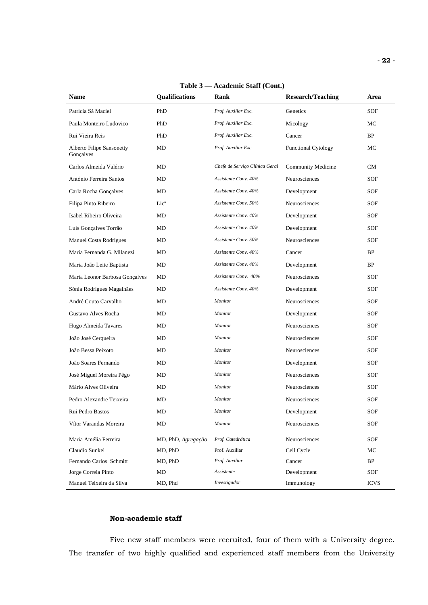| Name                                          | Qualifications     | Rank                           | <b>Research/Teaching</b>   | Area                 |
|-----------------------------------------------|--------------------|--------------------------------|----------------------------|----------------------|
| Patrícia Sá Maciel                            | PhD                | Prof. Auxiliar Exc.            | Genetics                   | SOF                  |
| Paula Monteiro Ludovico                       | PhD                | Prof. Auxiliar Exc.            | Micology                   | МC                   |
| Rui Vieira Reis                               | PhD                | Prof. Auxiliar Exc.            | Cancer                     | BP                   |
| <b>Alberto Filipe Sansonetty</b><br>Gonçalves | MD                 | Prof. Auxiliar Exc.            | <b>Functional Cytology</b> | МC                   |
| Carlos Almeida Valério                        | MD                 | Chefe de Serviço Clínica Geral | Community Medicine         | CM                   |
| António Ferreira Santos                       | MD                 | Assistente Conv. 40%           | Neurosciences              | SOF                  |
| Carla Rocha Gonçalves                         | MD                 | Assistente Conv. 40%           | Development                | SOF                  |
| Filipa Pinto Ribeiro                          | Lic <sup>a</sup>   | Assistente Conv. 50%           | Neurosciences              | <b>SOF</b>           |
| Isabel Ribeiro Oliveira                       | MD                 | Assistente Conv. 40%           | Development                | SOF                  |
| Luís Gonçalves Torrão                         | MD                 | Assistente Conv. 40%           | Development                | SOF                  |
| Manuel Costa Rodrigues                        | MD                 | Assistente Conv. 50%           | Neurosciences              | SOF                  |
| Maria Fernanda G. Milanezi                    | MD                 | Assistente Conv. 40%           | Cancer                     | BP                   |
| Maria João Leite Baptista                     | MD                 | Assistente Conv. 40%           | Development                | BP                   |
| Maria Leonor Barbosa Gonçalves                | MD                 | Assistente Conv. 40%           | <b>Neurosciences</b>       | SOF                  |
| Sónia Rodrigues Magalhães                     | MD                 | Assistente Conv. 40%           | Development                | <b>SOF</b>           |
| André Couto Carvalho                          | MD                 | Monitor                        | Neurosciences              | SOF                  |
| Gustavo Alves Rocha                           | MD                 | Monitor                        | Development                | SOF                  |
| Hugo Almeida Tavares                          | MD                 | Monitor                        | Neurosciences              | SOF                  |
| João José Cerqueira                           | MD                 | Monitor                        | Neurosciences              | <b>SOF</b>           |
| João Bessa Peixoto                            | MD                 | Monitor                        | Neurosciences              | <b>SOF</b>           |
| João Soares Fernando                          | MD                 | Monitor                        | Development                | SOF                  |
| José Miguel Moreira Pêgo                      | MD                 | Monitor                        | Neurosciences              | SOF                  |
| Mário Alves Oliveira                          | MD                 | Monitor                        | Neurosciences              | SOF                  |
| Pedro Alexandre Teixeira                      | MD                 | Monitor                        | Neurosciences              | SOF                  |
| Rui Pedro Bastos                              | MD                 | Monitor                        | Development                | $\operatorname{SOF}$ |
| Vítor Varandas Moreira                        | MD                 | Monitor                        | Neurosciences              | SOF                  |
| Maria Amélia Ferreira                         | MD, PhD, Agregação | Prof. Catedrática              | Neurosciences              | SOF                  |
| Claudio Sunkel                                | MD, PhD            | Prof. Auxiliar                 | Cell Cycle                 | MC                   |
| Fernando Carlos Schmitt                       | MD, PhD            | Prof. Auxiliar                 | Cancer                     | BP                   |
| Jorge Correia Pinto                           | MD                 | Assistente                     | Development                | SOF                  |
| Manuel Teixeira da Silva                      | MD, Phd            | Investigador                   | Immunology                 | <b>ICVS</b>          |

**Table 3 — Academic Staff (Cont.)** 

## **Non-academic staff**

Five new staff members were recruited, four of them with a University degree. The transfer of two highly qualified and experienced staff members from the University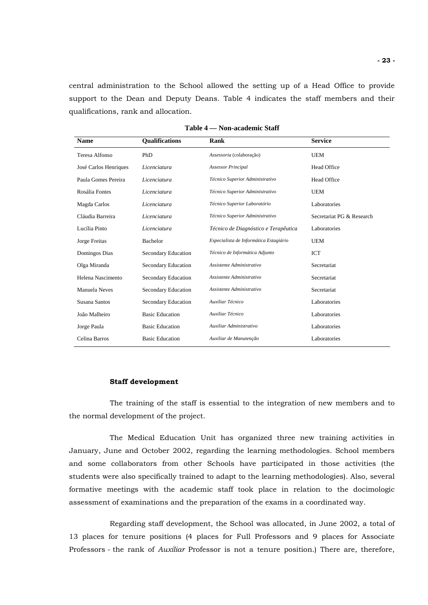central administration to the School allowed the setting up of a Head Office to provide support to the Dean and Deputy Deans. Table 4 indicates the staff members and their qualifications, rank and allocation.

| <b>Name</b>           | <b>Qualifications</b>  | Rank                                   | <b>Service</b>            |
|-----------------------|------------------------|----------------------------------------|---------------------------|
| Teresa Alfonso        | PhD                    | Assessoria (colaboração)               | <b>UEM</b>                |
| José Carlos Henriques | Licenciatura           | <b>Assessor Principal</b>              | <b>Head Office</b>        |
| Paula Gomes Pereira   | Licenciatura           | Técnico Superior Administrativo        | <b>Head Office</b>        |
| Rosália Fontes        | Licenciatura           | Técnico Superior Administrativo        | <b>UEM</b>                |
| Magda Carlos          | Licenciatura           | Técnico Superior Laboratório           | Laboratories              |
| Cláudia Barreira      | Licenciatura           | Técnico Superior Administrativo        | Secretariat PG & Research |
| Lucília Pinto         | Licenciatura           | Técnico de Diagnóstico e Terapêutica   | Laboratories              |
| Jorge Freitas         | Bachelor               | Especialista de Informática Estagiário | <b>UEM</b>                |
| Domingos Dias         | Secondary Education    | Técnico de Informática Adjunto         | <b>ICT</b>                |
| Olga Miranda          | Secondary Education    | Assistente Administrativo              | Secretariat               |
| Helena Nascimento     | Secondary Education    | Assistente Administrativo              | Secretariat               |
| Manuela Neves         | Secondary Education    | Assistente Administrativo              | Secretariat               |
| Susana Santos         | Secondary Education    | Auxiliar Técnico                       | Laboratories              |
| João Malheiro         | <b>Basic Education</b> | Auxiliar Técnico                       | Laboratories              |
| Jorge Paula           | <b>Basic Education</b> | Auxiliar Administrativo                | Laboratories              |
| Celina Barros         | <b>Basic Education</b> | Auxiliar de Manutenção                 | Laboratories              |

**Table 4 — Non-academic Staff**

## **Staff development**

The training of the staff is essential to the integration of new members and to the normal development of the project.

 The Medical Education Unit has organized three new training activities in January, June and October 2002, regarding the learning methodologies. School members and some collaborators from other Schools have participated in those activities (the students were also specifically trained to adapt to the learning methodologies). Also, several formative meetings with the academic staff took place in relation to the docimologic assessment of examinations and the preparation of the exams in a coordinated way.

Regarding staff development, the School was allocated, in June 2002, a total of 13 places for tenure positions (4 places for Full Professors and 9 places for Associate Professors - the rank of *Auxiliar* Professor is not a tenure position.) There are, therefore,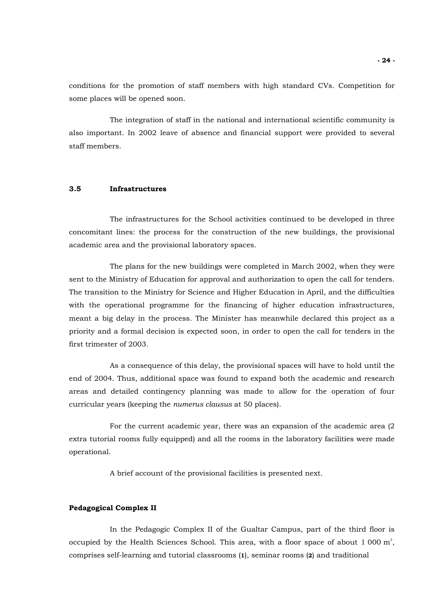conditions for the promotion of staff members with high standard CVs. Competition for some places will be opened soon.

The integration of staff in the national and international scientific community is also important. In 2002 leave of absence and financial support were provided to several staff members.

## **3.5 Infrastructures**

The infrastructures for the School activities continued to be developed in three concomitant lines: the process for the construction of the new buildings, the provisional academic area and the provisional laboratory spaces.

The plans for the new buildings were completed in March 2002, when they were sent to the Ministry of Education for approval and authorization to open the call for tenders. The transition to the Ministry for Science and Higher Education in April, and the difficulties with the operational programme for the financing of higher education infrastructures, meant a big delay in the process. The Minister has meanwhile declared this project as a priority and a formal decision is expected soon, in order to open the call for tenders in the first trimester of 2003.

As a consequence of this delay, the provisional spaces will have to hold until the end of 2004. Thus, additional space was found to expand both the academic and research areas and detailed contingency planning was made to allow for the operation of four curricular years (keeping the *numerus clausus* at 50 places).

 For the current academic year, there was an expansion of the academic area (2 extra tutorial rooms fully equipped) and all the rooms in the laboratory facilities were made operational.

A brief account of the provisional facilities is presented next.

## **Pedagogical Complex II**

In the Pedagogic Complex II of the Gualtar Campus, part of the third floor is occupied by the Health Sciences School. This area, with a floor space of about 1 000  $m^2$ , comprises self-learning and tutorial classrooms (**1**), seminar rooms (**2**) and traditional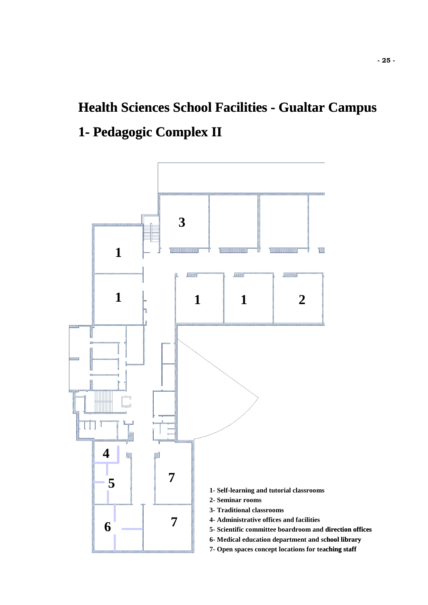# **Health Sciences School Facilities - Gualtar Campus 1- Pedagogic Complex II**

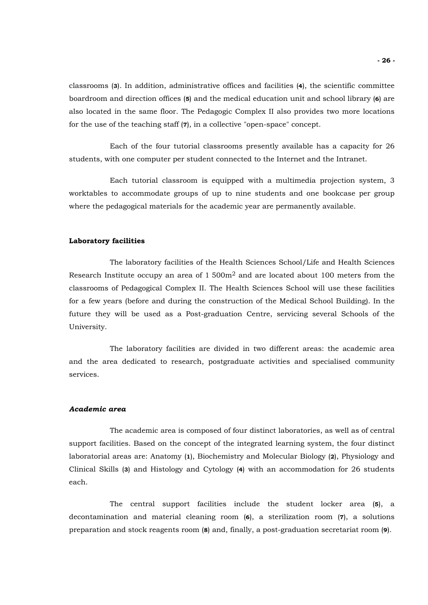classrooms (**3**). In addition, administrative offices and facilities (**4**), the scientific committee boardroom and direction offices (**5**) and the medical education unit and school library (**6**) are also located in the same floor. The Pedagogic Complex II also provides two more locations for the use of the teaching staff (**7**), in a collective "open-space" concept.

Each of the four tutorial classrooms presently available has a capacity for 26 students, with one computer per student connected to the Internet and the Intranet.

Each tutorial classroom is equipped with a multimedia projection system, 3 worktables to accommodate groups of up to nine students and one bookcase per group where the pedagogical materials for the academic year are permanently available.

## **Laboratory facilities**

The laboratory facilities of the Health Sciences School/Life and Health Sciences Research Institute occupy an area of  $1,500m^2$  and are located about 100 meters from the classrooms of Pedagogical Complex II. The Health Sciences School will use these facilities for a few years (before and during the construction of the Medical School Building). In the future they will be used as a Post-graduation Centre, servicing several Schools of the University.

The laboratory facilities are divided in two different areas: the academic area and the area dedicated to research, postgraduate activities and specialised community services.

#### *Academic area*

The academic area is composed of four distinct laboratories, as well as of central support facilities. Based on the concept of the integrated learning system, the four distinct laboratorial areas are: Anatomy (**1**), Biochemistry and Molecular Biology (**2**), Physiology and Clinical Skills (**3**) and Histology and Cytology (**4**) with an accommodation for 26 students each.

 The central support facilities include the student locker area (**5**), a decontamination and material cleaning room (**6**), a sterilization room (**7**), a solutions preparation and stock reagents room (**8**) and, finally, a post-graduation secretariat room (**9**).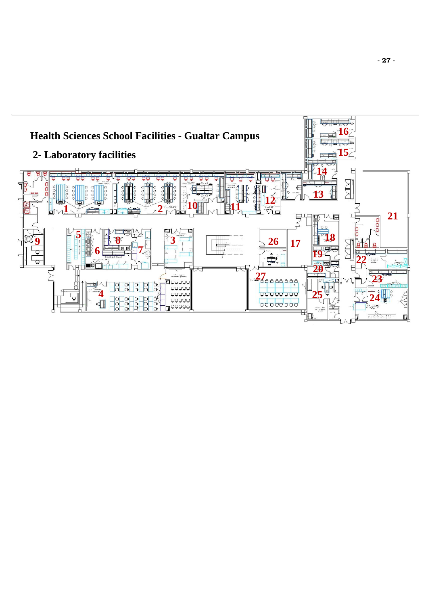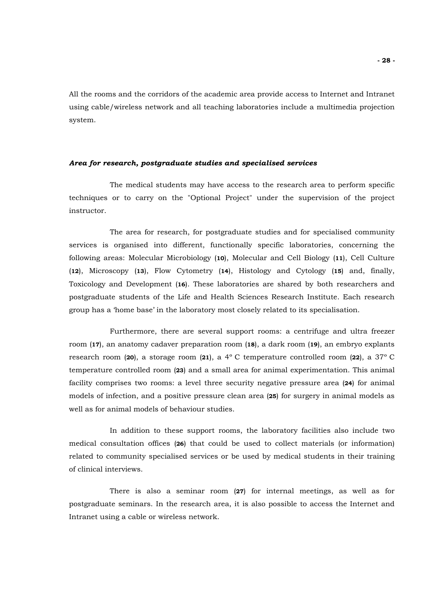All the rooms and the corridors of the academic area provide access to Internet and Intranet using cable/wireless network and all teaching laboratories include a multimedia projection system.

## *Area for research, postgraduate studies and specialised services*

The medical students may have access to the research area to perform specific techniques or to carry on the "Optional Project" under the supervision of the project instructor.

The area for research, for postgraduate studies and for specialised community services is organised into different, functionally specific laboratories, concerning the following areas: Molecular Microbiology (**10**), Molecular and Cell Biology (**11**), Cell Culture (**12**), Microscopy (**13**), Flow Cytometry (**14**), Histology and Cytology (**15**) and, finally, Toxicology and Development (**16**). These laboratories are shared by both researchers and postgraduate students of the Life and Health Sciences Research Institute. Each research group has a 'home base' in the laboratory most closely related to its specialisation.

Furthermore, there are several support rooms: a centrifuge and ultra freezer room (**17**), an anatomy cadaver preparation room (**18**), a dark room (**19**), an embryo explants research room (**20**), a storage room (**21**), a 4º C temperature controlled room (**22**), a 37º C temperature controlled room (**23**) and a small area for animal experimentation. This animal facility comprises two rooms: a level three security negative pressure area (**24**) for animal models of infection, and a positive pressure clean area (**25**) for surgery in animal models as well as for animal models of behaviour studies.

In addition to these support rooms, the laboratory facilities also include two medical consultation offices (**26**) that could be used to collect materials (or information) related to community specialised services or be used by medical students in their training of clinical interviews.

 There is also a seminar room (**27**) for internal meetings, as well as for postgraduate seminars. In the research area, it is also possible to access the Internet and Intranet using a cable or wireless network.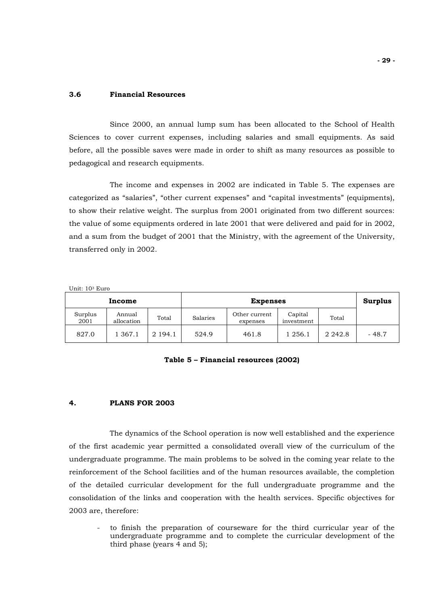## **3.6 Financial Resources**

Since 2000, an annual lump sum has been allocated to the School of Health Sciences to cover current expenses, including salaries and small equipments. As said before, all the possible saves were made in order to shift as many resources as possible to pedagogical and research equipments.

The income and expenses in 2002 are indicated in Table 5. The expenses are categorized as "salaries", "other current expenses" and "capital investments" (equipments), to show their relative weight. The surplus from 2001 originated from two different sources: the value of some equipments ordered in late 2001 that were delivered and paid for in 2002, and a sum from the budget of 2001 that the Ministry, with the agreement of the University, transferred only in 2002.

Unit: 103 Euro

|                 | <b>Expenses</b><br>Income |         |          |                           | Surplus               |             |         |
|-----------------|---------------------------|---------|----------|---------------------------|-----------------------|-------------|---------|
| Surplus<br>2001 | Annual<br>allocation      | Total   | Salaries | Other current<br>expenses | Capital<br>investment | Total       |         |
| 827.0           | 1 367.1                   | 2 194.1 | 524.9    | 461.8                     | 1 256.1               | 2 2 4 2 . 8 | $-48.7$ |

## **Table 5 – Financial resources (2002)**

## **4. PLANS FOR 2003**

The dynamics of the School operation is now well established and the experience of the first academic year permitted a consolidated overall view of the curriculum of the undergraduate programme. The main problems to be solved in the coming year relate to the reinforcement of the School facilities and of the human resources available, the completion of the detailed curricular development for the full undergraduate programme and the consolidation of the links and cooperation with the health services. Specific objectives for 2003 are, therefore:

- to finish the preparation of courseware for the third curricular year of the undergraduate programme and to complete the curricular development of the third phase (years 4 and 5);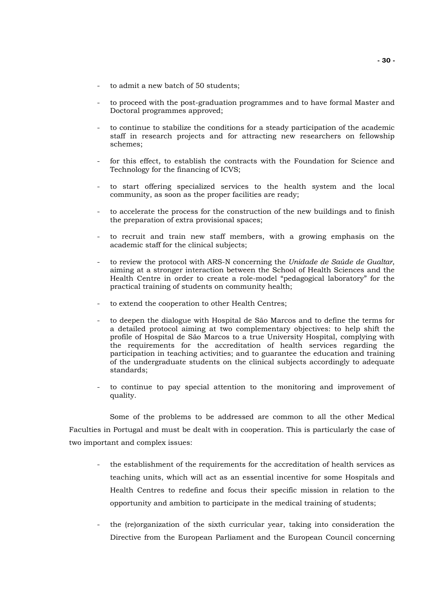- to admit a new batch of 50 students:
- to proceed with the post-graduation programmes and to have formal Master and Doctoral programmes approved;
- to continue to stabilize the conditions for a steady participation of the academic staff in research projects and for attracting new researchers on fellowship schemes;
- for this effect, to establish the contracts with the Foundation for Science and Technology for the financing of ICVS;
- to start offering specialized services to the health system and the local community, as soon as the proper facilities are ready;
- to accelerate the process for the construction of the new buildings and to finish the preparation of extra provisional spaces;
- to recruit and train new staff members, with a growing emphasis on the academic staff for the clinical subjects;
- to review the protocol with ARS-N concerning the *Unidade de Saúde de Gualtar*, aiming at a stronger interaction between the School of Health Sciences and the Health Centre in order to create a role-model "pedagogical laboratory" for the practical training of students on community health;
- to extend the cooperation to other Health Centres;
- to deepen the dialogue with Hospital de São Marcos and to define the terms for a detailed protocol aiming at two complementary objectives: to help shift the profile of Hospital de São Marcos to a true University Hospital, complying with the requirements for the accreditation of health services regarding the participation in teaching activities; and to guarantee the education and training of the undergraduate students on the clinical subjects accordingly to adequate standards;
- to continue to pay special attention to the monitoring and improvement of quality.

Some of the problems to be addressed are common to all the other Medical Faculties in Portugal and must be dealt with in cooperation. This is particularly the case of two important and complex issues:

- the establishment of the requirements for the accreditation of health services as teaching units, which will act as an essential incentive for some Hospitals and Health Centres to redefine and focus their specific mission in relation to the opportunity and ambition to participate in the medical training of students;
- the (re)organization of the sixth curricular year, taking into consideration the Directive from the European Parliament and the European Council concerning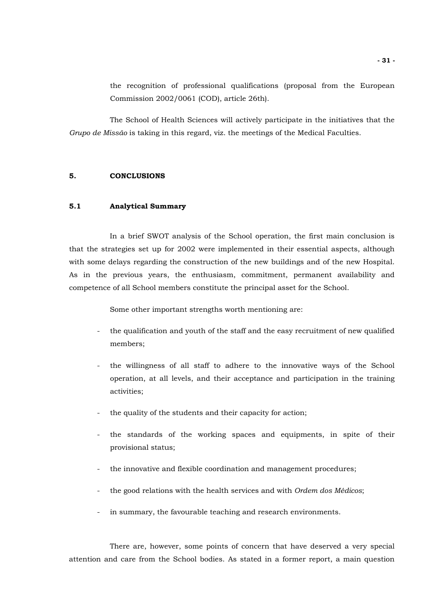the recognition of professional qualifications (proposal from the European Commission 2002/0061 (COD), article 26th).

The School of Health Sciences will actively participate in the initiatives that the *Grupo de Missão* is taking in this regard, viz. the meetings of the Medical Faculties.

## **5. CONCLUSIONS**

## **5.1 Analytical Summary**

In a brief SWOT analysis of the School operation, the first main conclusion is that the strategies set up for 2002 were implemented in their essential aspects, although with some delays regarding the construction of the new buildings and of the new Hospital. As in the previous years, the enthusiasm, commitment, permanent availability and competence of all School members constitute the principal asset for the School.

Some other important strengths worth mentioning are:

- the qualification and youth of the staff and the easy recruitment of new qualified members;
- the willingness of all staff to adhere to the innovative ways of the School operation, at all levels, and their acceptance and participation in the training activities;
- the quality of the students and their capacity for action;
- the standards of the working spaces and equipments, in spite of their provisional status;
- the innovative and flexible coordination and management procedures;
- the good relations with the health services and with *Ordem dos Médicos*;
- in summary, the favourable teaching and research environments.

There are, however, some points of concern that have deserved a very special attention and care from the School bodies. As stated in a former report, a main question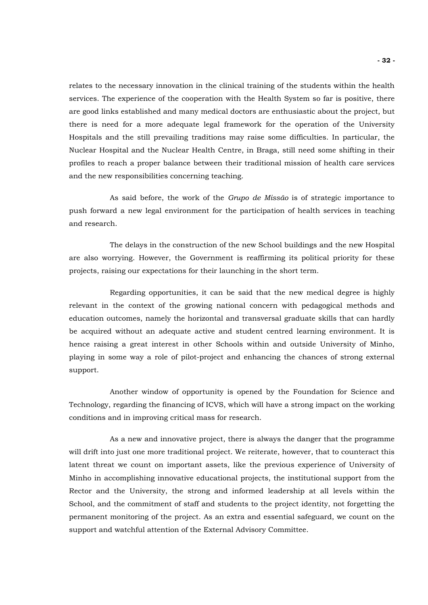relates to the necessary innovation in the clinical training of the students within the health services. The experience of the cooperation with the Health System so far is positive, there are good links established and many medical doctors are enthusiastic about the project, but there is need for a more adequate legal framework for the operation of the University Hospitals and the still prevailing traditions may raise some difficulties. In particular, the Nuclear Hospital and the Nuclear Health Centre, in Braga, still need some shifting in their profiles to reach a proper balance between their traditional mission of health care services and the new responsibilities concerning teaching.

As said before, the work of the *Grupo de Missão* is of strategic importance to push forward a new legal environment for the participation of health services in teaching and research.

The delays in the construction of the new School buildings and the new Hospital are also worrying. However, the Government is reaffirming its political priority for these projects, raising our expectations for their launching in the short term.

Regarding opportunities, it can be said that the new medical degree is highly relevant in the context of the growing national concern with pedagogical methods and education outcomes, namely the horizontal and transversal graduate skills that can hardly be acquired without an adequate active and student centred learning environment. It is hence raising a great interest in other Schools within and outside University of Minho, playing in some way a role of pilot-project and enhancing the chances of strong external support.

Another window of opportunity is opened by the Foundation for Science and Technology, regarding the financing of ICVS, which will have a strong impact on the working conditions and in improving critical mass for research.

As a new and innovative project, there is always the danger that the programme will drift into just one more traditional project. We reiterate, however, that to counteract this latent threat we count on important assets, like the previous experience of University of Minho in accomplishing innovative educational projects, the institutional support from the Rector and the University, the strong and informed leadership at all levels within the School, and the commitment of staff and students to the project identity, not forgetting the permanent monitoring of the project. As an extra and essential safeguard, we count on the support and watchful attention of the External Advisory Committee.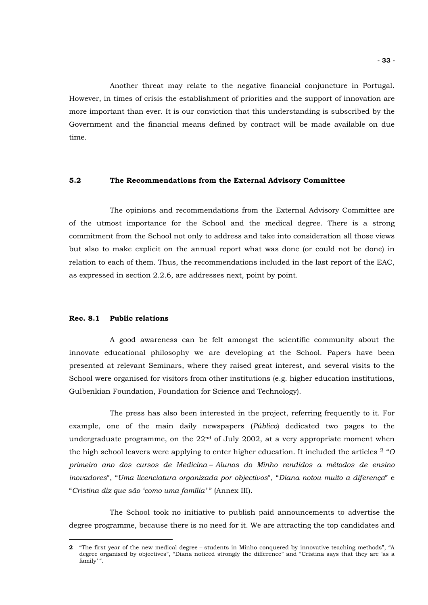Another threat may relate to the negative financial conjuncture in Portugal. However, in times of crisis the establishment of priorities and the support of innovation are more important than ever. It is our conviction that this understanding is subscribed by the Government and the financial means defined by contract will be made available on due time.

## **5.2 The Recommendations from the External Advisory Committee**

The opinions and recommendations from the External Advisory Committee are of the utmost importance for the School and the medical degree. There is a strong commitment from the School not only to address and take into consideration all those views but also to make explicit on the annual report what was done (or could not be done) in relation to each of them. Thus, the recommendations included in the last report of the EAC, as expressed in section 2.2.6, are addresses next, point by point.

## **Rec. 8.1 Public relations**

 $\overline{a}$ 

A good awareness can be felt amongst the scientific community about the innovate educational philosophy we are developing at the School. Papers have been presented at relevant Seminars, where they raised great interest, and several visits to the School were organised for visitors from other institutions (e.g. higher education institutions, Gulbenkian Foundation, Foundation for Science and Technology).

The press has also been interested in the project, referring frequently to it. For example, one of the main daily newspapers (*Público*) dedicated two pages to the undergraduate programme, on the  $22<sup>nd</sup>$  of July 2002, at a very appropriate moment when the high school leavers were applying to enter higher education. It included the articles [2](#page-32-0) "*O primeiro ano dos cursos de Medicina* – *Alunos do Minho rendidos a métodos de ensino inovadores*", "*Uma licenciatura organizada por objectivos*", "*Diana notou muito a diferença*" e "*Cristina diz que são 'como uma família'* " (Annex III).

The School took no initiative to publish paid announcements to advertise the degree programme, because there is no need for it. We are attracting the top candidates and

<span id="page-32-0"></span>**<sup>2</sup>** "The first year of the new medical degree – students in Minho conquered by innovative teaching methods", "A degree organised by objectives", "Diana noticed strongly the difference" and "Cristina says that they are 'as a family' ".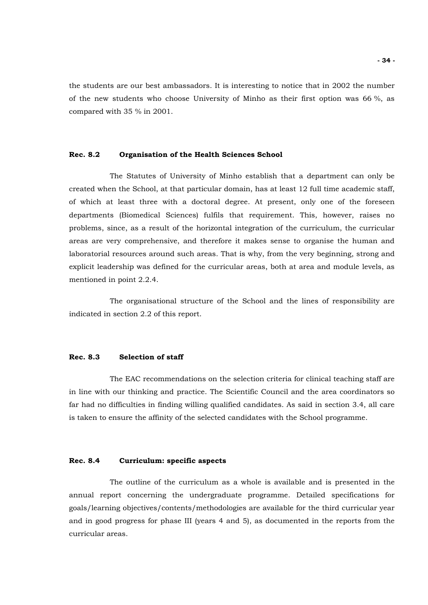the students are our best ambassadors. It is interesting to notice that in 2002 the number of the new students who choose University of Minho as their first option was 66 %, as compared with 35 % in 2001.

## **Rec. 8.2 Organisation of the Health Sciences School**

The Statutes of University of Minho establish that a department can only be created when the School, at that particular domain, has at least 12 full time academic staff, of which at least three with a doctoral degree. At present, only one of the foreseen departments (Biomedical Sciences) fulfils that requirement. This, however, raises no problems, since, as a result of the horizontal integration of the curriculum, the curricular areas are very comprehensive, and therefore it makes sense to organise the human and laboratorial resources around such areas. That is why, from the very beginning, strong and explicit leadership was defined for the curricular areas, both at area and module levels, as mentioned in point 2.2.4.

The organisational structure of the School and the lines of responsibility are indicated in section 2.2 of this report.

## **Rec. 8.3 Selection of staff**

The EAC recommendations on the selection criteria for clinical teaching staff are in line with our thinking and practice. The Scientific Council and the area coordinators so far had no difficulties in finding willing qualified candidates. As said in section 3.4, all care is taken to ensure the affinity of the selected candidates with the School programme.

## **Rec. 8.4 Curriculum: specific aspects**

The outline of the curriculum as a whole is available and is presented in the annual report concerning the undergraduate programme. Detailed specifications for goals/learning objectives/contents/methodologies are available for the third curricular year and in good progress for phase III (years 4 and 5), as documented in the reports from the curricular areas.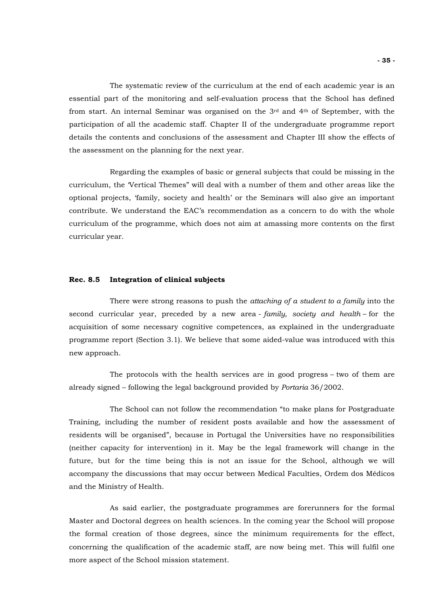The systematic review of the curriculum at the end of each academic year is an essential part of the monitoring and self-evaluation process that the School has defined from start. An internal Seminar was organised on the  $3<sup>rd</sup>$  and  $4<sup>th</sup>$  of September, with the participation of all the academic staff. Chapter II of the undergraduate programme report details the contents and conclusions of the assessment and Chapter III show the effects of the assessment on the planning for the next year.

Regarding the examples of basic or general subjects that could be missing in the curriculum, the 'Vertical Themes" will deal with a number of them and other areas like the optional projects, 'family, society and health' or the Seminars will also give an important contribute. We understand the EAC's recommendation as a concern to do with the whole curriculum of the programme, which does not aim at amassing more contents on the first curricular year.

## **Rec. 8.5 Integration of clinical subjects**

There were strong reasons to push the *attaching of a student to a family* into the second curricular year, preceded by a new area - *family, society and health* – for the acquisition of some necessary cognitive competences, as explained in the undergraduate programme report (Section 3.1). We believe that some aided-value was introduced with this new approach.

The protocols with the health services are in good progress – two of them are already signed – following the legal background provided by *Portaria* 36/2002.

The School can not follow the recommendation "to make plans for Postgraduate Training, including the number of resident posts available and how the assessment of residents will be organised", because in Portugal the Universities have no responsibilities (neither capacity for intervention) in it. May be the legal framework will change in the future, but for the time being this is not an issue for the School, although we will accompany the discussions that may occur between Medical Faculties, Ordem dos Médicos and the Ministry of Health.

As said earlier, the postgraduate programmes are forerunners for the formal Master and Doctoral degrees on health sciences. In the coming year the School will propose the formal creation of those degrees, since the minimum requirements for the effect, concerning the qualification of the academic staff, are now being met. This will fulfil one more aspect of the School mission statement.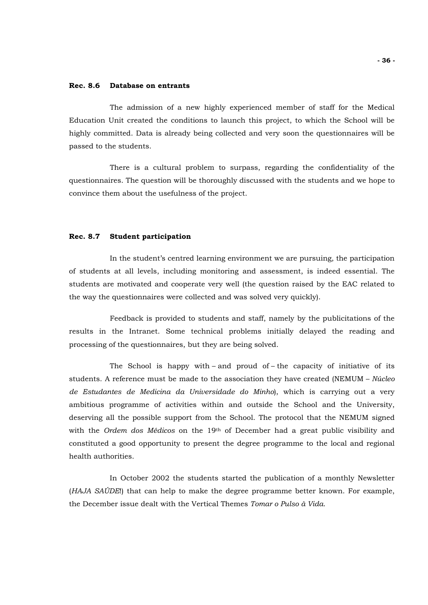## **Rec. 8.6 Database on entrants**

The admission of a new highly experienced member of staff for the Medical Education Unit created the conditions to launch this project, to which the School will be highly committed. Data is already being collected and very soon the questionnaires will be passed to the students.

There is a cultural problem to surpass, regarding the confidentiality of the questionnaires. The question will be thoroughly discussed with the students and we hope to convince them about the usefulness of the project.

## **Rec. 8.7 Student participation**

In the student's centred learning environment we are pursuing, the participation of students at all levels, including monitoring and assessment, is indeed essential. The students are motivated and cooperate very well (the question raised by the EAC related to the way the questionnaires were collected and was solved very quickly).

Feedback is provided to students and staff, namely by the publicitations of the results in the Intranet. Some technical problems initially delayed the reading and processing of the questionnaires, but they are being solved.

The School is happy with – and proud of – the capacity of initiative of its students. A reference must be made to the association they have created (NEMUM – *Núcleo de Estudantes de Medicina da Universidade do Minho*), which is carrying out a very ambitious programme of activities within and outside the School and the University, deserving all the possible support from the School. The protocol that the NEMUM signed with the *Ordem dos Médicos* on the 19th of December had a great public visibility and constituted a good opportunity to present the degree programme to the local and regional health authorities.

In October 2002 the students started the publication of a monthly Newsletter (*HAJA SAÚDE*!) that can help to make the degree programme better known. For example, the December issue dealt with the Vertical Themes *Tomar o Pulso à Vida*.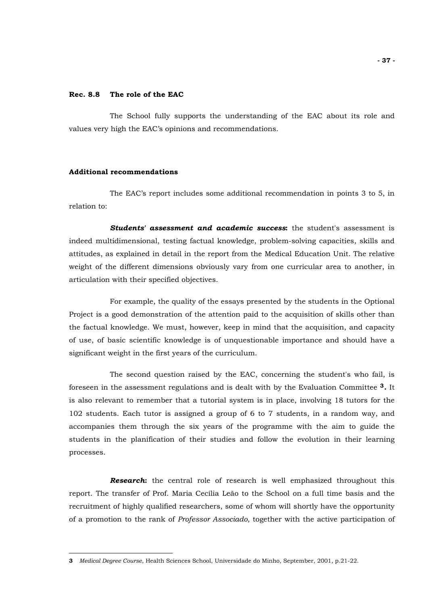## **Rec. 8.8 The role of the EAC**

The School fully supports the understanding of the EAC about its role and values very high the EAC's opinions and recommendations.

## **Additional recommendations**

 $\overline{a}$ 

The EAC's report includes some additional recommendation in points 3 to 5, in relation to:

*Students' assessment and academic success***:** the student's assessment is indeed multidimensional, testing factual knowledge, problem-solving capacities, skills and attitudes, as explained in detail in the report from the Medical Education Unit. The relative weight of the different dimensions obviously vary from one curricular area to another, in articulation with their specified objectives.

For example, the quality of the essays presented by the students in the Optional Project is a good demonstration of the attention paid to the acquisition of skills other than the factual knowledge. We must, however, keep in mind that the acquisition, and capacity of use, of basic scientific knowledge is of unquestionable importance and should have a significant weight in the first years of the curriculum.

The second question raised by the EAC, concerning the student's who fail, is foreseen in the assessment regulations and is dealt with by the Evaluation Committee **[3](#page-36-0).** It is also relevant to remember that a tutorial system is in place, involving 18 tutors for the 102 students. Each tutor is assigned a group of 6 to 7 students, in a random way, and accompanies them through the six years of the programme with the aim to guide the students in the planification of their studies and follow the evolution in their learning processes.

*Research***:** the central role of research is well emphasized throughout this report. The transfer of Prof. Maria Cecília Leão to the School on a full time basis and the recruitment of highly qualified researchers, some of whom will shortly have the opportunity of a promotion to the rank of *Professor Associado*, together with the active participation of

<span id="page-36-0"></span>**<sup>3</sup>** *Medical Degree Course*, Health Sciences School, Universidade do Minho, September, 2001, p.21-22.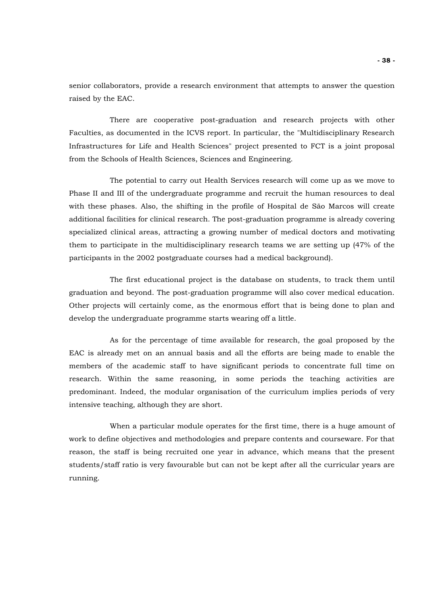senior collaborators, provide a research environment that attempts to answer the question raised by the EAC.

 There are cooperative post-graduation and research projects with other Faculties, as documented in the ICVS report. In particular, the "Multidisciplinary Research Infrastructures for Life and Health Sciences" project presented to FCT is a joint proposal from the Schools of Health Sciences, Sciences and Engineering.

The potential to carry out Health Services research will come up as we move to Phase II and III of the undergraduate programme and recruit the human resources to deal with these phases. Also, the shifting in the profile of Hospital de São Marcos will create additional facilities for clinical research. The post-graduation programme is already covering specialized clinical areas, attracting a growing number of medical doctors and motivating them to participate in the multidisciplinary research teams we are setting up (47% of the participants in the 2002 postgraduate courses had a medical background).

The first educational project is the database on students, to track them until graduation and beyond. The post-graduation programme will also cover medical education. Other projects will certainly come, as the enormous effort that is being done to plan and develop the undergraduate programme starts wearing off a little.

As for the percentage of time available for research, the goal proposed by the EAC is already met on an annual basis and all the efforts are being made to enable the members of the academic staff to have significant periods to concentrate full time on research. Within the same reasoning, in some periods the teaching activities are predominant. Indeed, the modular organisation of the curriculum implies periods of very intensive teaching, although they are short.

When a particular module operates for the first time, there is a huge amount of work to define objectives and methodologies and prepare contents and courseware. For that reason, the staff is being recruited one year in advance, which means that the present students/staff ratio is very favourable but can not be kept after all the curricular years are running.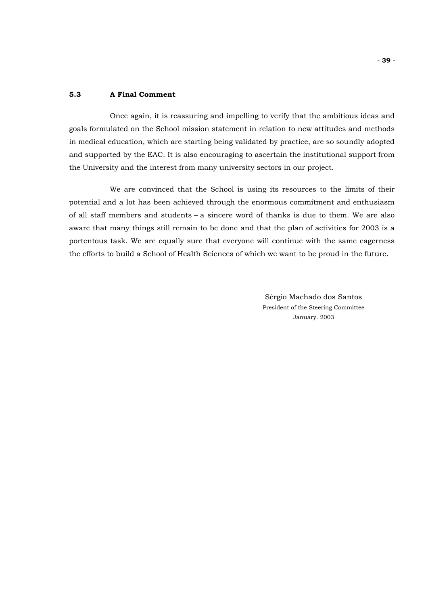## **5.3 A Final Comment**

Once again, it is reassuring and impelling to verify that the ambitious ideas and goals formulated on the School mission statement in relation to new attitudes and methods in medical education, which are starting being validated by practice, are so soundly adopted and supported by the EAC. It is also encouraging to ascertain the institutional support from the University and the interest from many university sectors in our project.

We are convinced that the School is using its resources to the limits of their potential and a lot has been achieved through the enormous commitment and enthusiasm of all staff members and students – a sincere word of thanks is due to them. We are also aware that many things still remain to be done and that the plan of activities for 2003 is a portentous task. We are equally sure that everyone will continue with the same eagerness the efforts to build a School of Health Sciences of which we want to be proud in the future.

> Sérgio Machado dos Santos President of the Steering Committee January. 2003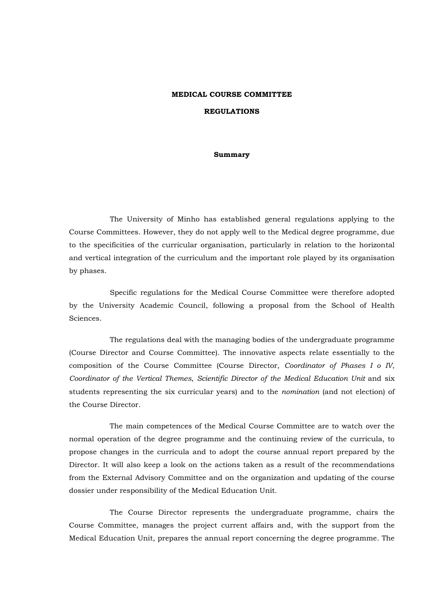# **MEDICAL COURSE COMMITTEE REGULATIONS**

## **Summary**

The University of Minho has established general regulations applying to the Course Committees. However, they do not apply well to the Medical degree programme, due to the specificities of the curricular organisation, particularly in relation to the horizontal and vertical integration of the curriculum and the important role played by its organisation by phases.

Specific regulations for the Medical Course Committee were therefore adopted by the University Academic Council, following a proposal from the School of Health Sciences.

The regulations deal with the managing bodies of the undergraduate programme (Course Director and Course Committee). The innovative aspects relate essentially to the composition of the Course Committee (Course Director, *Coordinator of Phases I o IV*, *Coordinator of the Vertical Themes*, *Scientific Director of the Medical Education Unit* and six students representing the six curricular years) and to the *nomination* (and not election) of the Course Director.

The main competences of the Medical Course Committee are to watch over the normal operation of the degree programme and the continuing review of the curricula, to propose changes in the curricula and to adopt the course annual report prepared by the Director. It will also keep a look on the actions taken as a result of the recommendations from the External Advisory Committee and on the organization and updating of the course dossier under responsibility of the Medical Education Unit.

 The Course Director represents the undergraduate programme, chairs the Course Committee, manages the project current affairs and, with the support from the Medical Education Unit, prepares the annual report concerning the degree programme. The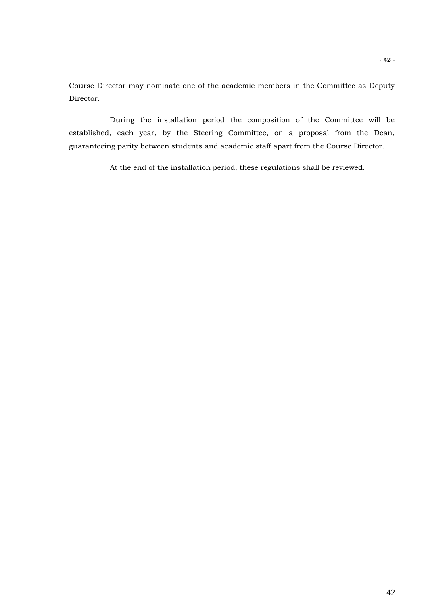Course Director may nominate one of the academic members in the Committee as Deputy Director.

 During the installation period the composition of the Committee will be established, each year, by the Steering Committee, on a proposal from the Dean, guaranteeing parity between students and academic staff apart from the Course Director.

At the end of the installation period, these regulations shall be reviewed.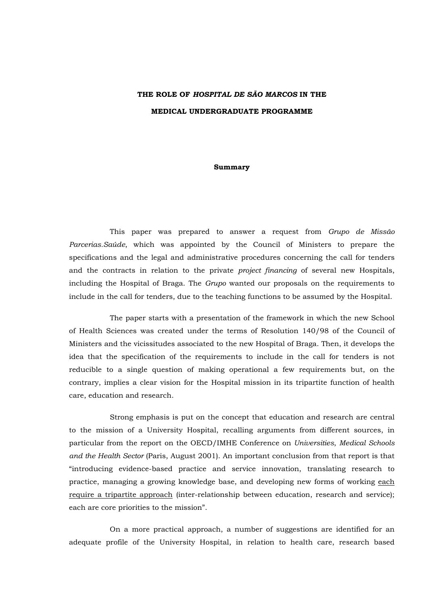# **THE ROLE OF** *HOSPITAL DE SÃO MARCOS* **IN THE MEDICAL UNDERGRADUATE PROGRAMME**

#### **Summary**

This paper was prepared to answer a request from *Grupo de Missão Parcerias.Saúde*, which was appointed by the Council of Ministers to prepare the specifications and the legal and administrative procedures concerning the call for tenders and the contracts in relation to the private *project financing* of several new Hospitals, including the Hospital of Braga. The *Grupo* wanted our proposals on the requirements to include in the call for tenders, due to the teaching functions to be assumed by the Hospital.

The paper starts with a presentation of the framework in which the new School of Health Sciences was created under the terms of Resolution 140/98 of the Council of Ministers and the vicissitudes associated to the new Hospital of Braga. Then, it develops the idea that the specification of the requirements to include in the call for tenders is not reducible to a single question of making operational a few requirements but, on the contrary, implies a clear vision for the Hospital mission in its tripartite function of health care, education and research.

Strong emphasis is put on the concept that education and research are central to the mission of a University Hospital, recalling arguments from different sources, in particular from the report on the OECD/IMHE Conference on *Universities*, *Medical Schools and the Health Sector* (Paris, August 2001). An important conclusion from that report is that "introducing evidence-based practice and service innovation, translating research to practice, managing a growing knowledge base, and developing new forms of working each require a tripartite approach (inter-relationship between education, research and service); each are core priorities to the mission".

On a more practical approach, a number of suggestions are identified for an adequate profile of the University Hospital, in relation to health care, research based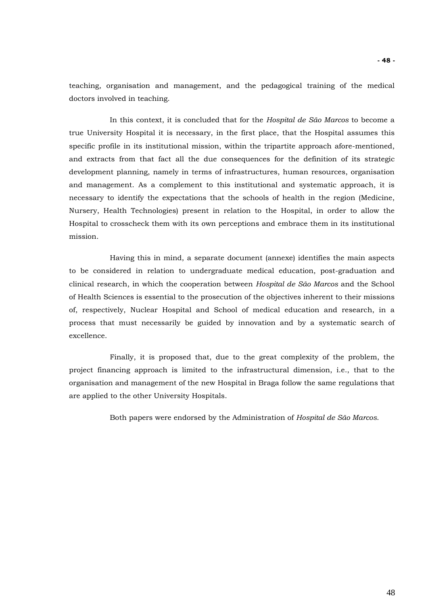teaching, organisation and management, and the pedagogical training of the medical doctors involved in teaching.

In this context, it is concluded that for the *Hospital de São Marcos* to become a true University Hospital it is necessary, in the first place, that the Hospital assumes this specific profile in its institutional mission, within the tripartite approach afore-mentioned, and extracts from that fact all the due consequences for the definition of its strategic development planning, namely in terms of infrastructures, human resources, organisation and management. As a complement to this institutional and systematic approach, it is necessary to identify the expectations that the schools of health in the region (Medicine, Nursery, Health Technologies) present in relation to the Hospital, in order to allow the Hospital to crosscheck them with its own perceptions and embrace them in its institutional mission.

Having this in mind, a separate document (annexe) identifies the main aspects to be considered in relation to undergraduate medical education, post-graduation and clinical research, in which the cooperation between *Hospital de São Marcos* and the School of Health Sciences is essential to the prosecution of the objectives inherent to their missions of, respectively, Nuclear Hospital and School of medical education and research, in a process that must necessarily be guided by innovation and by a systematic search of excellence.

Finally, it is proposed that, due to the great complexity of the problem, the project financing approach is limited to the infrastructural dimension, i.e., that to the organisation and management of the new Hospital in Braga follow the same regulations that are applied to the other University Hospitals.

Both papers were endorsed by the Administration of *Hospital de São Marcos*.